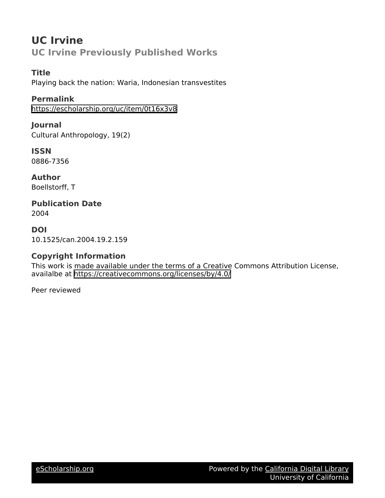# **UC Irvine UC Irvine Previously Published Works**

### **Title**

Playing back the nation: Waria, Indonesian transvestites

## **Permalink**

<https://escholarship.org/uc/item/0t16x3v8>

### **Journal**

Cultural Anthropology, 19(2)

### **ISSN** 0886-7356

**Author** Boellstorff, T

### **Publication Date** 2004

### **DOI** 10.1525/can.2004.19.2.159

## **Copyright Information**

This work is made available under the terms of a Creative Commons Attribution License, availalbe at <https://creativecommons.org/licenses/by/4.0/>

Peer reviewed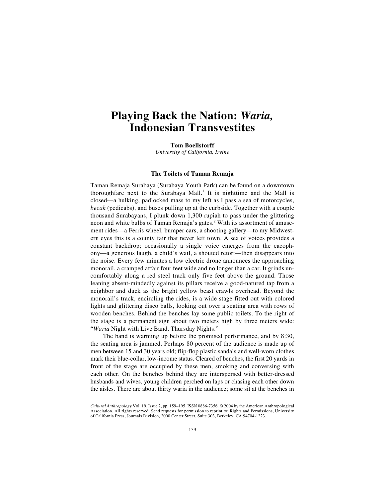# **Playing Back the Nation:** *Waria,* **Indonesian Transvestites**

**Tom Boellstorff** *University of California, Irvine*

#### **The Toilets of Taman Remaja**

Taman Remaja Surabaya (Surabaya Youth Park) can be found on a downtown thoroughfare next to the Surabaya Mall.<sup>1</sup> It is nighttime and the Mall is closed—a hulking, padlocked mass to my left as I pass a sea of motorcycles, *becak* (pedicabs), and buses pulling up at the curbside. Together with a couple thousand Surabayans, I plunk down 1,300 rupiah to pass under the glittering neon and white bulbs of Taman Remaja's gates.<sup>2</sup> With its assortment of amusement rides—a Ferris wheel, bumper cars, a shooting gallery—to my Midwestern eyes this is a county fair that never left town. A sea of voices provides a constant backdrop; occasionally a single voice emerges from the cacophony—a generous laugh, a child's wail, a shouted retort—then disappears into the noise. Every few minutes a low electric drone announces the approaching monorail, a cramped affair four feet wide and no longer than a car. It grinds uncomfortably along a red steel track only five feet above the ground. Those leaning absent-mindedly against its pillars receive a good-natured tap from a neighbor and duck as the bright yellow beast crawls overhead. Beyond the monorail's track, encircling the rides, is a wide stage fitted out with colored lights and glittering disco balls, looking out over a seating area with rows of wooden benches. Behind the benches lay some public toilets. To the right of the stage is a permanent sign about two meters high by three meters wide: "*Waria* Night with Live Band, Thursday Nights."

The band is warming up before the promised performance, and by 8:30, the seating area is jammed. Perhaps 80 percent of the audience is made up of men between 15 and 30 years old; flip-flop plastic sandals and well-worn clothes mark their blue-collar, low-income status. Cleared of benches, the first 20 yards in front of the stage are occupied by these men, smoking and conversing with each other. On the benches behind they are interspersed with better-dressed husbands and wives, young children perched on laps or chasing each other down the aisles. There are about thirty waria in the audience; some sit at the benches in

*Cultural Anthropology* Vol. 19, Issue 2, pp. 159–195, ISSN 0886-7356. © 2004 by the American Anthropological Association. All rights reserved. Send requests for permission to reprint to: Rights and Permissions, University of California Press, Journals Division, 2000 Center Street, Suite 303, Berkeley, CA 94704-1223.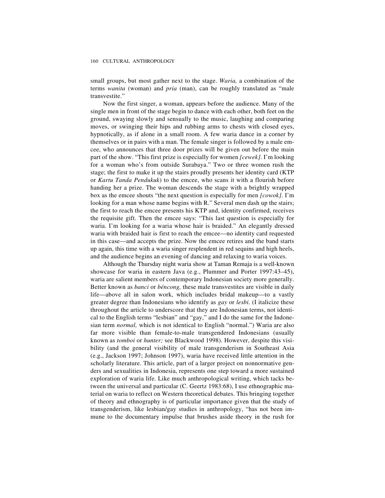small groups, but most gather next to the stage. *Waria,* a combination of the terms *wanita* (woman) and *pria* (man), can be roughly translated as "male transvestite."

Now the first singer, a woman, appears before the audience. Many of the single men in front of the stage begin to dance with each other, both feet on the ground, swaying slowly and sensually to the music, laughing and comparing moves, or swinging their hips and rubbing arms to chests with closed eyes, hypnotically, as if alone in a small room. A few waria dance in a corner by themselves or in pairs with a man. The female singer is followed by a male emcee, who announces that three door prizes will be given out before the main part of the show. "This first prize is especially for women *[cewek]*. I'm looking for a woman who's from outside Surabaya." Two or three women rush the stage; the first to make it up the stairs proudly presents her identity card (KTP or *Kartu Tanda Pendukuk*) to the emcee, who scans it with a flourish before handing her a prize. The woman descends the stage with a brightly wrapped box as the emcee shouts "the next question is especially for men *[cowok]*. I'm looking for a man whose name begins with R." Several men dash up the stairs; the first to reach the emcee presents his KTP and, identity confirmed, receives the requisite gift. Then the emcee says: "This last question is especially for waria. I'm looking for a waria whose hair is braided." An elegantly dressed waria with braided hair is first to reach the emcee—no identity card requested in this case—and accepts the prize. Now the emcee retires and the band starts up again, this time with a waria singer resplendent in red sequins and high heels, and the audience begins an evening of dancing and relaxing to waria voices.

Although the Thursday night waria show at Taman Remaja is a well-known showcase for waria in eastern Java (e.g., Plummer and Porter 1997:43–45), waria are salient members of contemporary Indonesian society more generally. Better known as *banci* or *béncong,* these male transvestites are visible in daily life—above all in salon work, which includes bridal makeup—to a vastly greater degree than Indonesians who identify as *gay* or *lesbi.* (I italicize these throughout the article to underscore that they are Indonesian terms, not identical to the English terms "lesbian" and "gay," and I do the same for the Indonesian term *normal,* which is not identical to English "normal.") Waria are also far more visible than female-to-male transgendered Indonesians (usually known as *tomboi* or *hunter;* see Blackwood 1998). However, despite this visibility (and the general visibility of male transgenderism in Southeast Asia (e.g., Jackson 1997; Johnson 1997), waria have received little attention in the scholarly literature. This article, part of a larger project on nonnormative genders and sexualities in Indonesia, represents one step toward a more sustained exploration of waria life. Like much anthropological writing, which tacks between the universal and particular (C. Geertz 1983:68), I use ethnographic material on waria to reflect on Western theoretical debates. This bringing together of theory and ethnography is of particular importance given that the study of transgenderism, like lesbian/gay studies in anthropology, "has not been immune to the documentary impulse that brushes aside theory in the rush for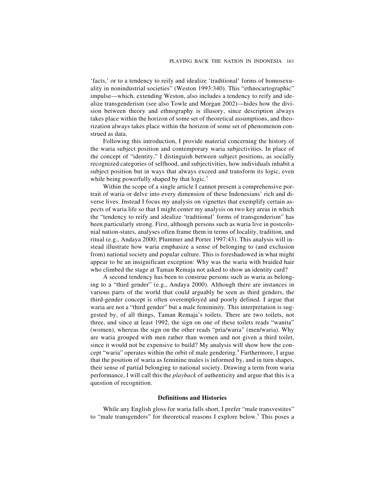'facts,' or to a tendency to reify and idealize 'traditional' forms of homosexuality in nonindustrial societies" (Weston 1993:340). This "ethnocartographic" impulse—which, extending Weston, also includes a tendency to reify and idealize transgenderism (see also Towle and Morgan 2002)—hides how the division between theory and ethnography is illusory, since description always takes place within the horizon of some set of theoretical assumptions, and theorization always takes place within the horizon of some set of phenomenon construed as data.

Following this introduction, I provide material concerning the history of the waria subject position and contemporary waria subjectivities. In place of the concept of "identity," I distinguish between subject positions, as socially recognized categories of selfhood, and subjectivities, how individuals inhabit a subject position but in ways that always exceed and transform its logic, even while being powerfully shaped by that  $logic<sup>3</sup>$ .

Within the scope of a single article I cannot present a comprehensive portrait of waria or delve into every dimension of these Indonesians' rich and diverse lives. Instead I focus my analysis on vignettes that exemplify certain aspects of waria life so that I might center my analysis on two key areas in which the "tendency to reify and idealize 'traditional' forms of transgenderism" has been particularly strong. First, although persons such as waria live in postcolonial nation-states, analyses often frame them in terms of locality, tradition, and ritual (e.g., Andaya 2000; Plummer and Porter 1997:43). This analysis will instead illustrate how waria emphasize a sense of belonging to (and exclusion from) national society and popular culture. This is foreshadowed in what might appear to be an insignificant exception: Why was the waria with braided hair who climbed the stage at Taman Remaja not asked to show an identity card?

A second tendency has been to construe persons such as waria as belonging to a "third gender" (e.g., Andaya 2000). Although there are instances in various parts of the world that could arguably be seen as third genders, the third-gender concept is often overemployed and poorly defined. I argue that waria are not a "third gender" but a male femininity. This interpretation is suggested by, of all things, Taman Remaja's toilets. There are two toilets, not three, and since at least 1992, the sign on one of these toilets reads "wanita" (women), whereas the sign on the other reads "pria/waria" (men/waria). Why are waria grouped with men rather than women and not given a third toilet, since it would not be expensive to build? My analysis will show how the concept "waria" operates within the orbit of male gendering.<sup>4</sup> Furthermore, I argue that the position of waria as feminine males is informed by, and in turn shapes, their sense of partial belonging to national society. Drawing a term from waria performance, I will call this the *playback* of authenticity and argue that this is a question of recognition.

#### **Definitions and Histories**

While any English gloss for waria falls short, I prefer "male transvestites" to "male transgenders" for theoretical reasons I explore below.<sup>5</sup> This poses a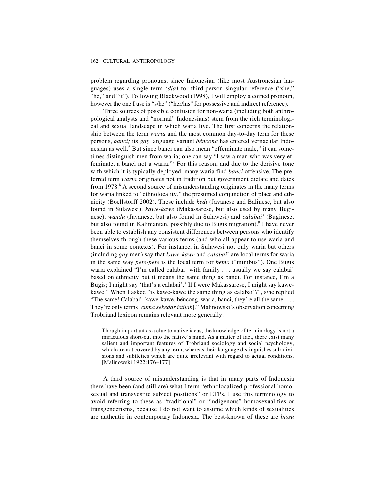problem regarding pronouns, since Indonesian (like most Austronesian languages) uses a single term *(dia)* for third-person singular reference ("she," "he," and "it"). Following Blackwood (1998), I will employ a coined pronoun, however the one I use is "s/he" ("her/his" for possessive and indirect reference).

Three sources of possible confusion for non-waria (including both anthropological analysts and "normal" Indonesians) stem from the rich terminological and sexual landscape in which waria live. The first concerns the relationship between the term *waria* and the most common day-to-day term for these persons, *banci;* its *gay* language variant *béncong* has entered vernacular Indonesian as well.<sup>6</sup> But since banci can also mean "effeminate male," it can sometimes distinguish men from waria; one can say "I saw a man who was very effeminate, a banci not a waria."<sup>7</sup> For this reason, and due to the derisive tone with which it is typically deployed, many waria find *banci* offensive. The preferred term *waria* originates not in tradition but government dictate and dates from 1978.<sup>8</sup> A second source of misunderstanding originates in the many terms for waria linked to "ethnolocality," the presumed conjunction of place and ethnicity (Boellstorff 2002). These include *kedi* (Javanese and Balinese, but also found in Sulawesi), *kawe-kawe* (Makassarese, but also used by many Buginese), *wandu* (Javanese, but also found in Sulawesi) and *calabai'* (Buginese, but also found in Kalimantan, possibly due to Bugis migration).<sup>9</sup> I have never been able to establish any consistent differences between persons who identify themselves through these various terms (and who all appear to use waria and banci in some contexts). For instance, in Sulawesi not only waria but others (including *gay* men) say that *kawe-kawe* and *calabai*' are local terms for waria in the same way *pete-pete* is the local term for *bemo* ("minibus"). One Bugis waria explained "I'm called calabai' with family . . . usually we say calabai' based on ethnicity but it means the same thing as banci. For instance, I'm a Bugis; I might say 'that's a calabai'.' If I were Makassarese, I might say kawekawe." When I asked "is kawe-kawe the same thing as calabai'?", s/he replied "The same! Calabai', kawe-kawe, béncong, waria, banci, they're all the same.... They're only terms [*cuma sekedar istilah*]." Malinowski's observation concerning Trobriand lexicon remains relevant more generally:

Though important as a clue to native ideas, the knowledge of terminology is not a miraculous short-cut into the native's mind. As a matter of fact, there exist many salient and important features of Trobriand sociology and social psychology, which are not covered by any term, whereas their language distinguishes sub-divisions and subtleties which are quite irrelevant with regard to actual conditions. [Malinowski 1922:176–177]

A third source of misunderstanding is that in many parts of Indonesia there have been (and still are) what I term "ethnolocalized professional homosexual and transvestite subject positions" or ETPs. I use this terminology to avoid referring to these as "traditional" or "indigenous" homosexualities or transgenderisms, because I do not want to assume which kinds of sexualities are authentic in contemporary Indonesia. The best-known of these are *bissu*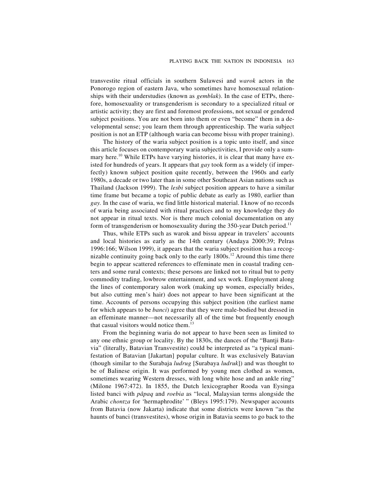transvestite ritual officials in southern Sulawesi and *warok* actors in the Ponorogo region of eastern Java, who sometimes have homosexual relationships with their understudies (known as *gemblak*). In the case of ETPs, therefore, homosexuality or transgenderism is secondary to a specialized ritual or artistic activity; they are first and foremost professions, not sexual or gendered subject positions. You are not born into them or even "become" them in a developmental sense; you learn them through apprenticeship. The waria subject position is not an ETP (although waria can become bissu with proper training).

The history of the waria subject position is a topic unto itself, and since this article focuses on contemporary waria subjectivities, I provide only a summary here.<sup>10</sup> While ETPs have varying histories, it is clear that many have existed for hundreds of years. It appears that *gay* took form as a widely (if imperfectly) known subject position quite recently, between the 1960s and early 1980s, a decade or two later than in some other Southeast Asian nations such as Thailand (Jackson 1999). The *lesbi* subject position appears to have a similar time frame but became a topic of public debate as early as 1980, earlier than *gay.* In the case of waria, we find little historical material. I know of no records of waria being associated with ritual practices and to my knowledge they do not appear in ritual texts. Nor is there much colonial documentation on any form of transgenderism or homosexuality during the 350-year Dutch period.<sup>11</sup>

Thus, while ETPs such as warok and bissu appear in travelers' accounts and local histories as early as the 14th century (Andaya 2000:39; Pelras 1996:166; Wilson 1999), it appears that the waria subject position has a recognizable continuity going back only to the early  $1800s$ .<sup>12</sup> Around this time there begin to appear scattered references to effeminate men in coastal trading centers and some rural contexts; these persons are linked not to ritual but to petty commodity trading, lowbrow entertainment, and sex work. Employment along the lines of contemporary salon work (making up women, especially brides, but also cutting men's hair) does not appear to have been significant at the time. Accounts of persons occupying this subject position (the earliest name for which appears to be *banci*) agree that they were male-bodied but dressed in an effeminate manner—not necessarily all of the time but frequently enough that casual visitors would notice them.<sup>13</sup>

From the beginning waria do not appear to have been seen as limited to any one ethnic group or locality. By the 1830s, the dances of the "Bantji Batavia" (literally, Batavian Transvestite) could be interpreted as "a typical manifestation of Batavian [Jakartan] popular culture. It was exclusively Batavian (though similar to the Surabaja *ludrug* [Surabaya *ludruk*]) and was thought to be of Balinese origin. It was performed by young men clothed as women, sometimes wearing Western dresses, with long white hose and an ankle ring" (Milone 1967:472). In 1855, the Dutch lexicographer Rooda van Eysinga listed banci with *pâpaq* and *roebia* as "local, Malaysian terms alongside the Arabic *chontza* for 'hermaphrodite' " (Bleys 1995:179). Newspaper accounts from Batavia (now Jakarta) indicate that some districts were known "as the haunts of banci (transvestites), whose origin in Batavia seems to go back to the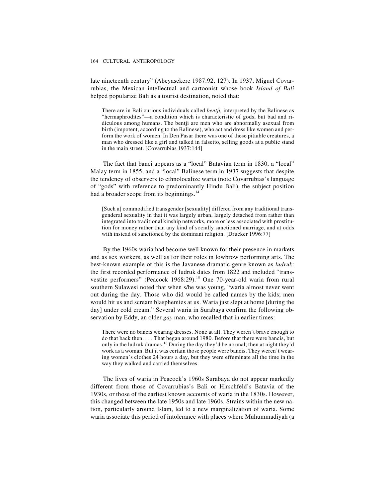late nineteenth century" (Abeyasekere 1987:92, 127). In 1937, Miguel Covarrubias, the Mexican intellectual and cartoonist whose book *Island of Bali* helped popularize Bali as a tourist destination, noted that:

There are in Bali curious individuals called *bentji,* interpreted by the Balinese as "hermaphrodites"—a condition which is characteristic of gods, but bad and ridiculous among humans. The bentji are men who are abnormally asexual from birth (impotent, according to the Balinese), who act and dress like women and perform the work of women. In Den Pasar there was one of these pitiable creatures, a man who dressed like a girl and talked in falsetto, selling goods at a public stand in the main street. [Covarrubias 1937:144]

The fact that banci appears as a "local" Batavian term in 1830, a "local" Malay term in 1855, and a "local" Balinese term in 1937 suggests that despite the tendency of observers to ethnolocalize waria (note Covarrubias's language of "gods" with reference to predominantly Hindu Bali), the subject position had a broader scope from its beginnings.<sup>14</sup>

[Such a] commodified transgender [sexuality] differed from any traditional transgenderal sexuality in that it was largely urban, largely detached from rather than integrated into traditional kinship networks, more or less associated with prostitution for money rather than any kind of socially sanctioned marriage, and at odds with instead of sanctioned by the dominant religion. [Drucker 1996:77]

By the 1960s waria had become well known for their presence in markets and as sex workers, as well as for their roles in lowbrow performing arts. The best-known example of this is the Javanese dramatic genre known as *ludruk*: the first recorded performance of ludruk dates from 1822 and included "transvestite performers" (Peacock 1968:29).<sup>15</sup> One 70-year-old waria from rural southern Sulawesi noted that when s/he was young, "waria almost never went out during the day. Those who did would be called names by the kids; men would hit us and scream blasphemies at us. Waria just slept at home [during the day] under cold cream." Several waria in Surabaya confirm the following observation by Eddy, an older *gay* man, who recalled that in earlier times:

There were no bancis wearing dresses. None at all. They weren't brave enough to do that back then. . . . That began around 1980. Before that there were bancis, but only in the ludruk dramas.16 During the day they'd be normal; then at night they'd work as a woman. But it was certain those people were bancis. They weren't wearing women's clothes 24 hours a day, but they were effeminate all the time in the way they walked and carried themselves.

The lives of waria in Peacock's 1960s Surabaya do not appear markedly different from those of Covarrubias's Bali or Hirschfeld's Batavia of the 1930s, or those of the earliest known accounts of waria in the 1830s. However, this changed between the late 1950s and late 1960s. Strains within the new nation, particularly around Islam, led to a new marginalization of waria. Some waria associate this period of intolerance with places where Muhummadiyah (a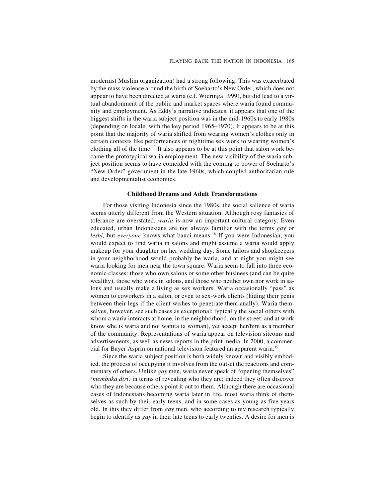modernist Muslim organization) had a strong following. This was exacerbated by the mass violence around the birth of Soeharto's New Order, which does not appear to have been directed at waria (c.f. Wieringa 1999), but did lead to a virtual abandonment of the public and market spaces where waria found community and employment. As Eddy's narrative indicates, it appears that one of the biggest shifts in the waria subject position was in the mid-1960s to early 1980s (depending on locale, with the key period 1965–1970). It appears to be at this point that the majority of waria shifted from wearing women's clothes only in certain contexts like performances or nighttime sex work to wearing women's clothing all of the time.<sup>17</sup> It also appears to be at this point that salon work became the prototypical waria employment. The new visibility of the waria subject position seems to have coincided with the coming to power of Soeharto's "New Order" government in the late 1960s, which coupled authoritarian rule and developmentalist economics.

#### **Childhood Dreams and Adult Transformations**

For those visiting Indonesia since the 1980s, the social salience of waria seems utterly different from the Western situation. Although rosy fantasies of tolerance are overstated, *waria* is now an important cultural category. Even educated, urban Indonesians are not always familiar with the terms *gay* or *lesbi,* but *everyone* knows what banci means.<sup>18</sup> If you were Indonesian, you would expect to find waria in salons and might assume a waria would apply makeup for your daughter on her wedding day. Some tailors and shopkeepers in your neighborhood would probably be waria, and at night you might see waria looking for men near the town square. Waria seem to fall into three economic classes: those who own salons or some other business (and can be quite wealthy), those who work in salons, and those who neither own nor work in salons and usually make a living as sex workers. Waria occasionally "pass" as women to coworkers in a salon, or even to sex-work clients (hiding their penis between their legs if the client wishes to penetrate them anally). Waria themselves, however, see such cases as exceptional: typically the social others with whom a waria interacts at home, in the neighborhood, on the street, and at work know s/he is waria and not wanita (a woman), yet accept her/him as a member of the community. Representations of waria appear on television sitcoms and advertisements, as well as news reports in the print media. In 2000, a commercial for Bayer Asprin on national television featured an apparent waria.<sup>19</sup>

Since the waria subject position is both widely known and visibly embodied, the process of occupying it involves from the outset the reactions and commentary of others. Unlike *gay* men, waria never speak of "opening themselves" *(membuka diri)* in terms of revealing who they are; indeed they often discover who they are because others point it out to them. Although there are occasional cases of Indonesians becoming waria later in life, most waria think of themselves as such by their early teens, and in some cases as young as five years old. In this they differ from *gay* men, who according to my research typically begin to identify as *gay* in their late teens to early twenties. A desire for men is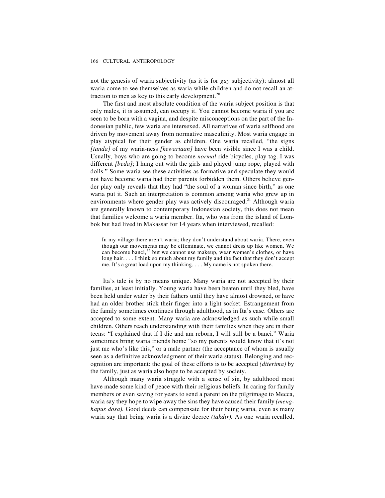not the genesis of waria subjectivity (as it is for *gay* subjectivity); almost all waria come to see themselves as waria while children and do not recall an attraction to men as key to this early development.<sup>20</sup>

The first and most absolute condition of the waria subject position is that only males, it is assumed, can occupy it. You cannot become waria if you are seen to be born with a vagina, and despite misconceptions on the part of the Indonesian public, few waria are intersexed. All narratives of waria selfhood are driven by movement away from normative masculinity. Most waria engage in play atypical for their gender as children. One waria recalled, "the signs *[tanda]* of my waria-ness *[kewariaan]* have been visible since I was a child. Usually, boys who are going to become *normal* ride bicycles, play tag. I was different *[beda]*; I hung out with the girls and played jump rope, played with dolls." Some waria see these activities as formative and speculate they would not have become waria had their parents forbidden them. Others believe gender play only reveals that they had "the soul of a woman since birth," as one waria put it. Such an interpretation is common among waria who grew up in environments where gender play was actively discouraged.<sup>21</sup> Although waria are generally known to contemporary Indonesian society, this does not mean that families welcome a waria member. Ita, who was from the island of Lombok but had lived in Makassar for 14 years when interviewed, recalled:

In my village there aren't waria; they don't understand about waria. There, even though our movements may be effeminate, we cannot dress up like women. We can become banci,<sup>22</sup> but we cannot use makeup, wear women's clothes, or have long hair.... I think so much about my family and the fact that they don't accept me. It's a great load upon my thinking.  $\dots$  My name is not spoken there.

Ita's tale is by no means unique. Many waria are not accepted by their families, at least initially. Young waria have been beaten until they bled, have been held under water by their fathers until they have almost drowned, or have had an older brother stick their finger into a light socket. Estrangement from the family sometimes continues through adulthood, as in Ita's case. Others are accepted to some extent. Many waria are acknowledged as such while small children. Others reach understanding with their families when they are in their teens: "I explained that if I die and am reborn, I will still be a banci." Waria sometimes bring waria friends home "so my parents would know that it's not just me who's like this," or a male partner (the acceptance of whom is usually seen as a definitive acknowledgment of their waria status). Belonging and recognition are important: the goal of these efforts is to be accepted *(diterima)* by the family, just as waria also hope to be accepted by society.

Although many waria struggle with a sense of sin, by adulthood most have made some kind of peace with their religious beliefs. In caring for family members or even saving for years to send a parent on the pilgrimage to Mecca, waria say they hope to wipe away the sins they have caused their family *(menghapus dosa).* Good deeds can compensate for their being waria, even as many waria say that being waria is a divine decree *(takdir).* As one waria recalled,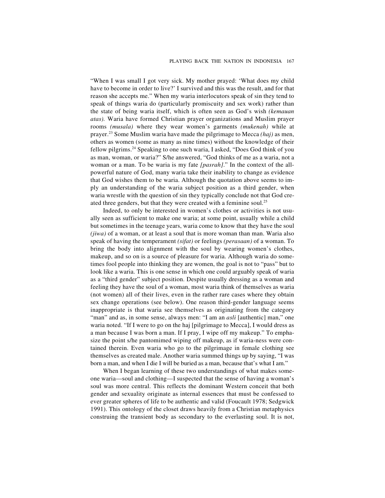"When I was small I got very sick. My mother prayed: 'What does my child have to become in order to live?' I survived and this was the result, and for that reason she accepts me." When my waria interlocutors speak of sin they tend to speak of things waria do (particularly promiscuity and sex work) rather than the state of being waria itself, which is often seen as God's wish *(kemauan atas).* Waria have formed Christian prayer organizations and Muslim prayer rooms *(musala)* where they wear women's garments *(mukenah)* while at prayer.<sup>23</sup> Some Muslim waria have made the pilgrimage to Mecca *(haj)* as men, others as women (some as many as nine times) without the knowledge of their fellow pilgrims.<sup>24</sup> Speaking to one such waria, I asked, "Does God think of you as man, woman, or waria?" S/he answered, "God thinks of me as a waria, not a woman or a man. To be waria is my fate *[pasrah]*." In the context of the allpowerful nature of God, many waria take their inability to change as evidence that God wishes them to be waria. Although the quotation above seems to imply an understanding of the waria subject position as a third gender, when waria wrestle with the question of sin they typically conclude not that God created three genders, but that they were created with a feminine soul.<sup>25</sup>

Indeed, to only be interested in women's clothes or activities is not usually seen as sufficient to make one waria; at some point, usually while a child but sometimes in the teenage years, waria come to know that they have the soul *(jiwa)* of a woman, or at least a soul that is more woman than man. Waria also speak of having the temperament *(sifat)* or feelings *(perasaan)* of a woman. To bring the body into alignment with the soul by wearing women's clothes, makeup, and so on is a source of pleasure for waria. Although waria do sometimes fool people into thinking they are women, the goal is not to "pass" but to look like a waria. This is one sense in which one could arguably speak of waria as a "third gender" subject position. Despite usually dressing as a woman and feeling they have the soul of a woman, most waria think of themselves as waria (not women) all of their lives, even in the rather rare cases where they obtain sex change operations (see below). One reason third-gender language seems inappropriate is that waria see themselves as originating from the category "man" and as, in some sense, always men: "I am an *asli* [authentic] man," one waria noted. "If I were to go on the haj [pilgrimage to Mecca], I would dress as a man because I was born a man. If I pray, I wipe off my makeup." To emphasize the point s/he pantomimed wiping off makeup, as if waria-ness were contained therein. Even waria who go to the pilgrimage in female clothing see themselves as created male. Another waria summed things up by saying, "I was born a man, and when I die I will be buried as a man, because that's what I am."

When I began learning of these two understandings of what makes someone waria—soul and clothing—I suspected that the sense of having a woman's soul was more central. This reflects the dominant Western conceit that both gender and sexuality originate as internal essences that must be confessed to ever greater spheres of life to be authentic and valid (Foucault 1978; Sedgwick 1991). This ontology of the closet draws heavily from a Christian metaphysics construing the transient body as secondary to the everlasting soul. It is not,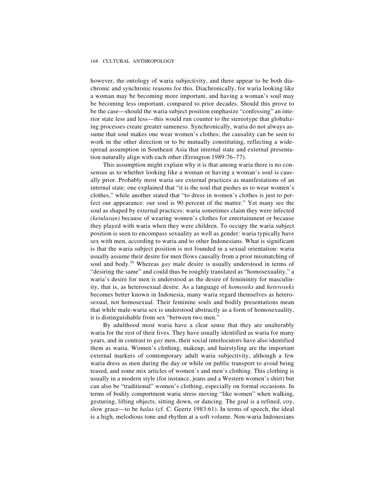however, the ontology of waria subjectivity, and there appear to be both diachronic and synchronic reasons for this. Diachronically, for waria looking like a woman may be becoming more important, and having a woman's soul may be becoming less important, compared to prior decades. Should this prove to be the case—should the waria subject position emphasize "confessing" an interior state less and less—this would run counter to the stereotype that globalizing processes create greater sameness. Synchronically, waria do not always assume that soul makes one wear women's clothes; the causality can be seen to work in the other direction or to be mutually constituting, reflecting a widespread assumption in Southeast Asia that internal state and external presentation naturally align with each other (Errington 1989:76–77).

This assumption might explain why it is that among waria there is no consensus as to whether looking like a woman or having a woman's soul is causally prior. Probably most waria see external practices as manifestations of an internal state: one explained that "it is the soul that pushes us to wear women's clothes," while another stated that "to dress in women's clothes is just to perfect our appearance: our soul is 90 percent of the matter." Yet many see the soul as shaped by external practices: waria sometimes claim they were infected *(ketularan)* because of wearing women's clothes for entertainment or because they played with waria when they were children. To occupy the waria subject position is seen to encompass sexuality as well as gender: waria typically have sex with men, according to waria and to other Indonesians. What is significant is that the waria subject position is not founded in a sexual orientation: waria usually assume their desire for men flows causally from a prior mismatching of soul and body.<sup>26</sup> Whereas *gay* male desire is usually understood in terms of "desiring the same" and could thus be roughly translated as "homosexuality," a waria's desire for men is understood as the desire of femininity for masculinity, that is, as heterosexual desire. As a language of *homoseks* and *heteroseks* becomes better known in Indonesia, many waria regard themselves as heterosexual, not homosexual. Their feminine souls and bodily presentations mean that while male-waria sex is understood abstractly as a form of homosexuality, it is distinguishable from sex "between two men."

By adulthood most waria have a clear sense that they are unalterably waria for the rest of their lives. They have usually identified as waria for many years, and in contrast to *gay* men, their social interlocutors have also identified them as waria. Women's clothing, makeup, and hairstyling are the important external markers of contemporary adult waria subjectivity, although a few waria dress as men during the day or while on public transport to avoid being teased, and some mix articles of women's and men's clothing. This clothing is usually in a modern style (for instance, jeans and a Western women's shirt) but can also be "traditional" women's clothing, especially on formal occasions. In terms of bodily comportment waria stress moving "like women" when walking, gesturing, lifting objects, sitting down, or dancing. The goal is a refined, coy, slow grace—to be *halus* (cf. C. Geertz 1983:61). In terms of speech, the ideal is a high, melodious tone and rhythm at a soft volume. Non-waria Indonesians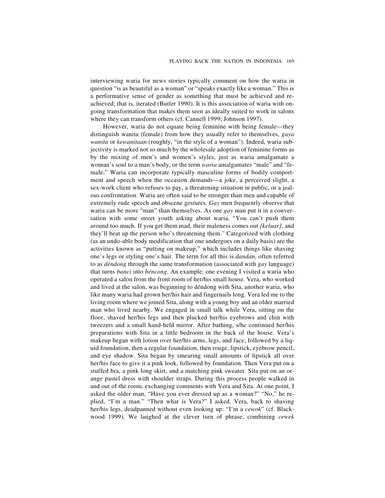interviewing waria for news stories typically comment on how the waria in question "is as beautiful as a woman" or "speaks exactly like a woman." This is a performative sense of gender as something that must be achieved and reachieved; that is, iterated (Butler 1990). It is this association of waria with ongoing transformation that makes them seen as ideally suited to work in salons where they can transform others (cf. Cannell 1999; Johnson 1997).

However, waria do not equate being feminine with being female—they distinguish wanita (female) from how they usually refer to themselves, *gaya wanita* or *kewanitaan* (roughly, "in the style of a woman"). Indeed, waria subjectivity is marked not so much by the wholesale adoption of feminine forms as by the mixing of men's and women's styles, just as waria amalgamate a woman's soul to a man's body, or the term *waria* amalgamates "male" and "female." Waria can incorporate typically masculine forms of bodily comportment and speech when the occasion demands—a joke, a perceived slight, a sex-work client who refuses to pay, a threatening situation in public, or a jealous confrontation. Waria are often said to be stronger than men and capable of extremely rude speech and obscene gestures. *Gay* men frequently observe that waria can be more "man" than themselves. As one *gay* man put it in a conversation with some street youth asking about waria, "You can't push them around too much. If you get them mad, their maleness comes out *[keluar],* and they'll beat up the person who's threatening them." Categorized with clothing (as an undo-able body modification that one undergoes on a daily basis) are the activities known as "putting on makeup," which includes things like shaving one's legs or styling one's hair. The term for all this is *dandan,* often referred to as *déndong* through the same transformation (associated with *gay* language) that turns *banci* into *béncong.* An example: one evening I visited a waria who operated a salon from the front room of her/his small house. Vera, who worked and lived at the salon, was beginning to déndong with Sita, another waria, who like many waria had grown her/his hair and fingernails long. Vera led me to the living room where we joined Sita, along with a young boy and an older married man who lived nearby. We engaged in small talk while Vera, sitting on the floor, shaved her/his legs and then plucked her/his eyebrows and chin with tweezers and a small hand-held mirror. After bathing, s/he continued her/his preparations with Sita in a little bedroom in the back of the house. Vera's makeup began with lotion over her/his arms, legs, and face, followed by a liquid foundation, then a regular foundation, then rouge, lipstick, eyebrow pencil, and eye shadow. Sita began by smearing small amounts of lipstick all over her/his face to give it a pink look, followed by foundation. Then Vera put on a stuffed bra, a pink long skirt, and a matching pink sweater. Sita put on an orange pastel dress with shoulder straps. During this process people walked in and out of the room, exchanging comments with Vera and Sita. At one point, I asked the older man, "Have you ever dressed up as a woman?" "No," he replied, "I'm a man." "Then what is Vera?" I asked. Vera, back to shaving her/his legs, deadpanned without even looking up: "I'm a *cewok*" (cf. Blackwood 1999). We laughed at the clever turn of phrase, combining *cewek*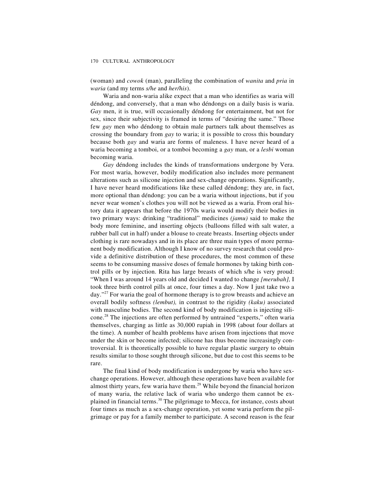(woman) and *cowok* (man), paralleling the combination of *wanita* and *pria* in *waria* (and my terms *s/he* and *her/his*).

Waria and non-waria alike expect that a man who identifies as waria will déndong, and conversely, that a man who déndongs on a daily basis is waria. *Gay* men, it is true, will occasionally déndong for entertainment, but not for sex, since their subjectivity is framed in terms of "desiring the same." Those few *gay* men who déndong to obtain male partners talk about themselves as crossing the boundary from *gay* to waria; it is possible to cross this boundary because both *gay* and waria are forms of maleness. I have never heard of a waria becoming a tomboi, or a tomboi becoming a *gay* man, or a *lesbi* woman becoming waria.

*Gay* déndong includes the kinds of transformations undergone by Vera. For most waria, however, bodily modification also includes more permanent alterations such as silicone injection and sex-change operations. Significantly, I have never heard modifications like these called déndong; they are, in fact, more optional than déndong: you can be a waria without injections, but if you never wear women's clothes you will not be viewed as a waria. From oral history data it appears that before the 1970s waria would modify their bodies in two primary ways: drinking "traditional" medicines *(jamu)* said to make the body more feminine, and inserting objects (balloons filled with salt water, a rubber ball cut in half) under a blouse to create breasts. Inserting objects under clothing is rare nowadays and in its place are three main types of more permanent body modification. Although I know of no survey research that could provide a definitive distribution of these procedures, the most common of these seems to be consuming massive doses of female hormones by taking birth control pills or by injection. Rita has large breasts of which s/he is very proud: "When I was around 14 years old and decided I wanted to change *[merubah],* I took three birth control pills at once, four times a day. Now I just take two a day."<sup>27</sup> For waria the goal of hormone therapy is to grow breasts and achieve an overall bodily softness *(lembut),* in contrast to the rigidity *(kaku)* associated with masculine bodies. The second kind of body modification is injecting silicone.<sup>28</sup> The injections are often performed by untrained "experts," often waria themselves, charging as little as 30,000 rupiah in 1998 (about four dollars at the time). A number of health problems have arisen from injections that move under the skin or become infected; silicone has thus become increasingly controversial. It is theoretically possible to have regular plastic surgery to obtain results similar to those sought through silicone, but due to cost this seems to be rare.

The final kind of body modification is undergone by waria who have sexchange operations. However, although these operations have been available for almost thirty years, few waria have them.<sup>29</sup> While beyond the financial horizon of many waria, the relative lack of waria who undergo them cannot be explained in financial terms.<sup>30</sup> The pilgrimage to Mecca, for instance, costs about four times as much as a sex-change operation, yet some waria perform the pilgrimage or pay for a family member to participate. A second reason is the fear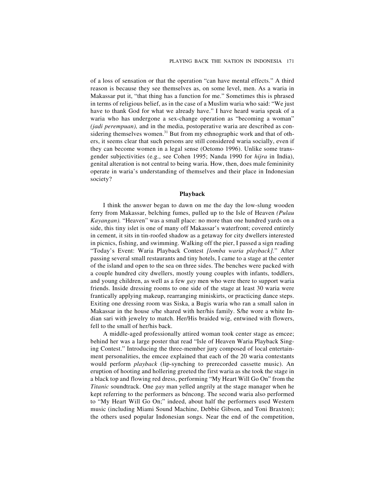of a loss of sensation or that the operation "can have mental effects." A third reason is because they see themselves as, on some level, men. As a waria in Makassar put it, "that thing has a function for me." Sometimes this is phrased in terms of religious belief, as in the case of a Muslim waria who said: "We just have to thank God for what we already have." I have heard waria speak of a waria who has undergone a sex-change operation as "becoming a woman" *(jadi perempuan),* and in the media, postoperative waria are described as considering themselves women. $31$  But from my ethnographic work and that of others, it seems clear that such persons are still considered waria socially, even if they can become women in a legal sense (Oetomo 1996). Unlike some transgender subjectivities (e.g., see Cohen 1995; Nanda 1990 for *hijra* in India), genital alteration is not central to being waria. How, then, does male femininity operate in waria's understanding of themselves and their place in Indonesian society?

#### **Playback**

I think the answer began to dawn on me the day the low-slung wooden ferry from Makassar, belching fumes, pulled up to the Isle of Heaven *(Pulau Kayangan).* "Heaven" was a small place: no more than one hundred yards on a side, this tiny islet is one of many off Makassar's waterfront; covered entirely in cement, it sits in tin-roofed shadow as a getaway for city dwellers interested in picnics, fishing, and swimming. Walking off the pier, I passed a sign reading "Today's Event: Waria Playback Contest *[lomba waria playback].*" After passing several small restaurants and tiny hotels, I came to a stage at the center of the island and open to the sea on three sides. The benches were packed with a couple hundred city dwellers, mostly young couples with infants, toddlers, and young children, as well as a few *gay* men who were there to support waria friends. Inside dressing rooms to one side of the stage at least 30 waria were frantically applying makeup, rearranging miniskirts, or practicing dance steps. Exiting one dressing room was Siska, a Bugis waria who ran a small salon in Makassar in the house s/he shared with her/his family. S/he wore a white Indian sari with jewelry to match. Her/His braided wig, entwined with flowers, fell to the small of her/his back.

A middle-aged professionally attired woman took center stage as emcee; behind her was a large poster that read "Isle of Heaven Waria Playback Singing Contest." Introducing the three-member jury composed of local entertainment personalities, the emcee explained that each of the 20 waria contestants would perform *playback* (lip-synching to prerecorded cassette music). An eruption of hooting and hollering greeted the first waria as she took the stage in a black top and flowing red dress, performing "My Heart Will Go On" from the *Titanic* soundtrack. One *gay* man yelled angrily at the stage manager when he kept referring to the performers as béncong. The second waria also performed to "My Heart Will Go On;" indeed, about half the performers used Western music (including Miami Sound Machine, Debbie Gibson, and Toni Braxton); the others used popular Indonesian songs. Near the end of the competition,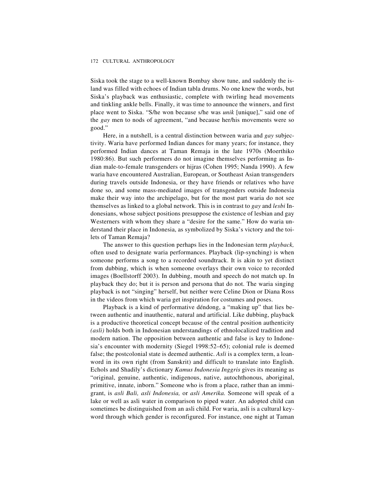Siska took the stage to a well-known Bombay show tune, and suddenly the island was filled with echoes of Indian tabla drums. No one knew the words, but Siska's playback was enthusiastic, complete with twirling head movements and tinkling ankle bells. Finally, it was time to announce the winners, and first place went to Siska. "S/he won because s/he was *unik* [unique]," said one of the *gay* men to nods of agreement, "and because her/his movements were so good."

Here, in a nutshell, is a central distinction between waria and *gay* subjectivity. Waria have performed Indian dances for many years; for instance, they performed Indian dances at Taman Remaja in the late 1970s (Moerthiko 1980:86). But such performers do not imagine themselves performing as Indian male-to-female transgenders or hijras (Cohen 1995; Nanda 1990). A few waria have encountered Australian, European, or Southeast Asian transgenders during travels outside Indonesia, or they have friends or relatives who have done so, and some mass-mediated images of transgenders outside Indonesia make their way into the archipelago, but for the most part waria do not see themselves as linked to a global network. This is in contrast to *gay* and *lesbi* Indonesians, whose subject positions presuppose the existence of lesbian and gay Westerners with whom they share a "desire for the same." How do waria understand their place in Indonesia, as symbolized by Siska's victory and the toilets of Taman Remaja?

The answer to this question perhaps lies in the Indonesian term *playback,* often used to designate waria performances. Playback (lip-synching) is when someone performs a song to a recorded soundtrack. It is akin to yet distinct from dubbing, which is when someone overlays their own voice to recorded images (Boellstorff 2003). In dubbing, mouth and speech do not match up. In playback they do; but it is person and persona that do not. The waria singing playback is not "singing" herself, but neither were Celine Dion or Diana Ross in the videos from which waria get inspiration for costumes and poses.

Playback is a kind of performative déndong, a "making up" that lies between authentic and inauthentic, natural and artificial. Like dubbing, playback is a productive theoretical concept because of the central position authenticity *(asli)* holds both in Indonesian understandings of ethnolocalized tradition and modern nation. The opposition between authentic and false is key to Indonesia's encounter with modernity (Siegel 1998:52–65); colonial rule is deemed false; the postcolonial state is deemed authentic. *Asli* is a complex term, a loanword in its own right (from Sanskrit) and difficult to translate into English. Echols and Shadily's dictionary *Kamus Indonesia Inggris* gives its meaning as "original, genuine, authentic, indigenous, native, autochthonous, aboriginal, primitive, innate, inborn." Someone who is from a place, rather than an immigrant, is *asli Bali, asli Indonesia,* or *asli Amerika.* Someone will speak of a lake or well as asli water in comparison to piped water. An adopted child can sometimes be distinguished from an asli child. For waria, asli is a cultural keyword through which gender is reconfigured. For instance, one night at Taman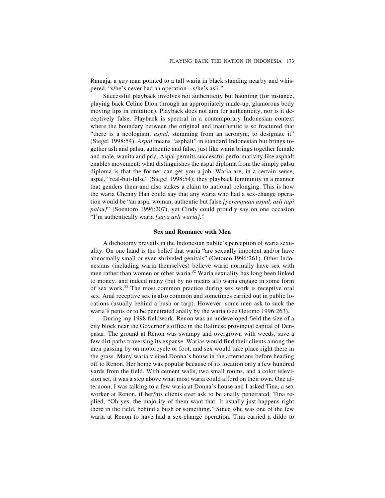Ramaja, a *gay* man pointed to a tall waria in black standing nearby and whispered, "s/he's never had an operation—s/he's asli."

Successful playback involves not authenticity but haunting (for instance, playing back Celine Dion through an appropriately made-up, glamorous body moving lips in imitation). Playback does not aim for authenticity, nor is it deceptively false. Playback is spectral in a contemporary Indonesian context where the boundary between the original and inauthentic is so fractured that "there is a neologism, *aspal,* stemming from an acronym, to designate it" (Siegel 1998:54). *Aspal* means "asphalt" in standard Indonesian but brings together asli and palsu, authentic and false, just like waria brings together female and male, wanita and pria. Aspal permits successful performativity like asphalt enables movement: what distinguishes the aspal diploma from the simply palsu diploma is that the former can get you a job. Waria are, in a certain sense, aspal, "real-but-false" (Siegel 1998:54); they playback femininity in a manner that genders them and also stakes a claim to national belonging. This is how the waria Chenny Han could say that any waria who had a sex-change operation would be "an aspal woman, authentic but false *[perempuan aspal, asli tapi palsu]*" (Soentoro 1996:207), yet Cindy could proudly say on one occasion "I'm authentically waria *[saya asli waria].*"

#### **Sex and Romance with Men**

A dichotomy prevails in the Indonesian public's perception of waria sexuality. On one hand is the belief that waria "are sexually impotent and/or have abnormally small or even shriveled genitals" (Oetomo 1996:261). Other Indonesians (including waria themselves) believe waria normally have sex with men rather than women or other waria.<sup>32</sup> Waria sexuality has long been linked to money, and indeed many (but by no means all) waria engage in some form of sex work.<sup>33</sup> The most common practice during sex work is receptive oral sex. Anal receptive sex is also common and sometimes carried out in public locations (usually behind a bush or tarp). However, some men ask to suck the waria's penis or to be penetrated anally by the waria (see Oetomo 1996:263).

During my 1998 fieldwork, Renon was an undeveloped field the size of a city block near the Governor's office in the Balinese provincial capital of Denpasar. The ground at Renon was swampy and overgrown with weeds, save a few dirt paths traversing its expanse. Warias would find their clients among the men passing by on motorcycle or foot, and sex would take place right there in the grass. Many waria visited Donna's house in the afternoons before heading off to Renon. Her home was popular because of its location only a few hundred yards from the field. With cement walls, two small rooms, and a color television set, it was a step above what most waria could afford on their own. One afternoon, I was talking to a few waria at Donna's house and I asked Tina, a sex worker at Renon, if her/his clients ever ask to be anally penetrated. Tina replied, "Oh yes, the majority of them want that. It usually just happens right there in the field, behind a bush or something." Since s/he was one of the few waria at Renon to have had a sex-change operation, Tina carried a dildo to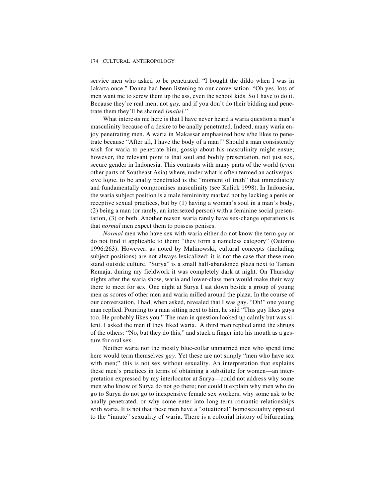service men who asked to be penetrated: "I bought the dildo when I was in Jakarta once." Donna had been listening to our conversation, "Oh yes, lots of men want me to screw them up the ass, even the school kids. So I have to do it. Because they're real men, not *gay,* and if you don't do their bidding and penetrate them they'll be shamed *[malu].*"

What interests me here is that I have never heard a waria question a man's masculinity because of a desire to be anally penetrated. Indeed, many waria enjoy penetrating men. A waria in Makassar emphasized how s/he likes to penetrate because "After all, I have the body of a man!" Should a man consistently wish for waria to penetrate him, gossip about his masculinity might ensue; however, the relevant point is that soul and bodily presentation, not just sex, secure gender in Indonesia. This contrasts with many parts of the world (even other parts of Southeast Asia) where, under what is often termed an active/passive logic, to be anally penetrated is the "moment of truth" that immediately and fundamentally compromises masculinity (see Kulick 1998). In Indonesia, the waria subject position is a male femininity marked not by lacking a penis or receptive sexual practices, but by (1) having a woman's soul in a man's body, (2) being a man (or rarely, an intersexed person) with a feminine social presentation, (3) or both. Another reason waria rarely have sex-change operations is that *normal* men expect them to possess penises.

*Normal* men who have sex with waria either do not know the term *gay* or do not find it applicable to them: "they form a nameless category" (Oetomo 1996:263). However, as noted by Malinowski, cultural concepts (including subject positions) are not always lexicalized: it is not the case that these men stand outside culture. "Surya" is a small half-abandoned plaza next to Taman Remaja; during my fieldwork it was completely dark at night. On Thursday nights after the waria show, waria and lower-class men would make their way there to meet for sex. One night at Surya I sat down beside a group of young men as scores of other men and waria milled around the plaza. In the course of our conversation, I had, when asked, revealed that I was gay. "Oh!" one young man replied. Pointing to a man sitting next to him, he said "This guy likes guys too. He probably likes you." The man in question looked up calmly but was silent. I asked the men if they liked waria. A third man replied amid the shrugs of the others: "No, but they do this," and stuck a finger into his mouth as a gesture for oral sex.

Neither waria nor the mostly blue-collar unmarried men who spend time here would term themselves *gay.* Yet these are not simply "men who have sex with men;" this is not sex without sexuality. An interpretation that explains these men's practices in terms of obtaining a substitute for women—an interpretation expressed by my interlocutor at Surya—could not address why some men who know of Surya do not go there; nor could it explain why men who do go to Surya do not go to inexpensive female sex workers, why some ask to be anally penetrated, or why some enter into long-term romantic relationships with waria. It is not that these men have a "situational" homosexuality opposed to the "innate" sexuality of waria. There is a colonial history of bifurcating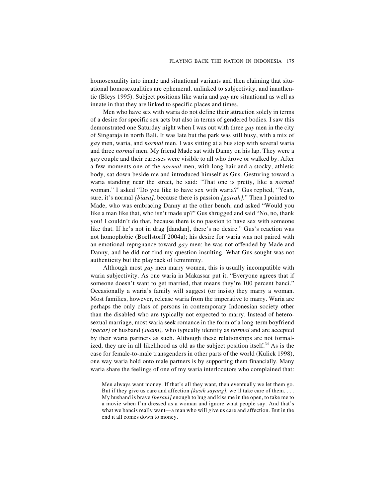homosexuality into innate and situational variants and then claiming that situational homosexualities are ephemeral, unlinked to subjectivity, and inauthentic (Bleys 1995). Subject positions like waria and *gay* are situational as well as innate in that they are linked to specific places and times.

Men who have sex with waria do not define their attraction solely in terms of a desire for specific sex acts but also in terms of gendered bodies. I saw this demonstrated one Saturday night when I was out with three *gay* men in the city of Singaraja in north Bali. It was late but the park was still busy, with a mix of *gay* men, waria, and *normal* men. I was sitting at a bus stop with several waria and three *normal* men. My friend Made sat with Danny on his lap. They were a *gay* couple and their caresses were visible to all who drove or walked by. After a few moments one of the *normal* men, with long hair and a stocky, athletic body, sat down beside me and introduced himself as Gus. Gesturing toward a waria standing near the street, he said: "That one is pretty, like a *normal* woman." I asked "Do you like to have sex with waria?" Gus replied, "Yeah, sure, it's normal *[biasa],* because there is passion *[gairah].*" Then I pointed to Made, who was embracing Danny at the other bench, and asked "Would you like a man like that, who isn't made up?" Gus shrugged and said "No, no, thank you! I couldn't do that, because there is no passion to have sex with someone like that. If he's not in drag [dandan], there's no desire." Gus's reaction was not homophobic (Boellstorff 2004a); his desire for waria was not paired with an emotional repugnance toward *gay* men; he was not offended by Made and Danny, and he did not find my question insulting. What Gus sought was not authenticity but the playback of femininity.

Although most *gay* men marry women, this is usually incompatible with waria subjectivity. As one waria in Makassar put it, "Everyone agrees that if someone doesn't want to get married, that means they're 100 percent banci." Occasionally a waria's family will suggest (or insist) they marry a woman. Most families, however, release waria from the imperative to marry. Waria are perhaps the only class of persons in contemporary Indonesian society other than the disabled who are typically not expected to marry. Instead of heterosexual marriage, most waria seek romance in the form of a long-term boyfriend *(pacar)* or husband *(suami),* who typically identify as *normal* and are accepted by their waria partners as such. Although these relationships are not formalized, they are in all likelihood as old as the subject position itself. $34$  As is the case for female-to-male transgenders in other parts of the world (Kulick 1998), one way waria hold onto male partners is by supporting them financially. Many waria share the feelings of one of my waria interlocutors who complained that:

Men always want money. If that's all they want, then eventually we let them go. But if they give us care and affection *[kasih sayang],* we'll take care of them. . . . My husband is brave *[berani]* enough to hug and kiss me in the open, to take me to a movie when I'm dressed as a woman and ignore what people say. And that's what we bancis really want—a man who will give us care and affection. But in the end it all comes down to money.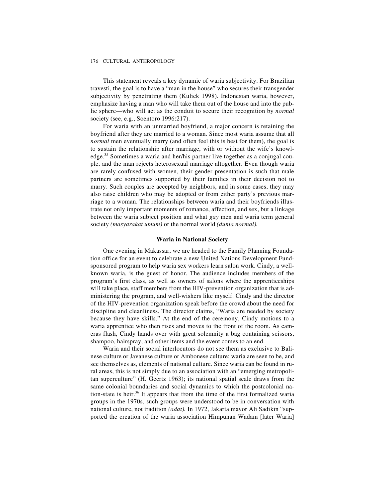This statement reveals a key dynamic of waria subjectivity. For Brazilian travesti, the goal is to have a "man in the house" who secures their transgender subjectivity by penetrating them (Kulick 1998). Indonesian waria, however, emphasize having a man who will take them out of the house and into the public sphere—who will act as the conduit to secure their recognition by *normal* society (see, e.g., Soentoro 1996:217).

For waria with an unmarried boyfriend, a major concern is retaining the boyfriend after they are married to a woman. Since most waria assume that all *normal* men eventually marry (and often feel this is best for them), the goal is to sustain the relationship after marriage, with or without the wife's knowledge.<sup>35</sup> Sometimes a waria and her/his partner live together as a conjugal couple, and the man rejects heterosexual marriage altogether. Even though waria are rarely confused with women, their gender presentation is such that male partners are sometimes supported by their families in their decision not to marry. Such couples are accepted by neighbors, and in some cases, they may also raise children who may be adopted or from either party's previous marriage to a woman. The relationships between waria and their boyfriends illustrate not only important moments of romance, affection, and sex, but a linkage between the waria subject position and what *gay* men and waria term general society *(masyarakat umum)* or the normal world *(dunia normal).*

#### **Waria in National Society**

One evening in Makassar, we are headed to the Family Planning Foundation office for an event to celebrate a new United Nations Development Fundsponsored program to help waria sex workers learn salon work. Cindy, a wellknown waria, is the guest of honor. The audience includes members of the program's first class, as well as owners of salons where the apprenticeships will take place, staff members from the HIV-prevention organization that is administering the program, and well-wishers like myself. Cindy and the director of the HIV-prevention organization speak before the crowd about the need for discipline and cleanliness. The director claims, "Waria are needed by society because they have skills." At the end of the ceremony, Cindy motions to a waria apprentice who then rises and moves to the front of the room. As cameras flash, Cindy hands over with great solemnity a bag containing scissors, shampoo, hairspray, and other items and the event comes to an end.

Waria and their social interlocutors do not see them as exclusive to Balinese culture or Javanese culture or Ambonese culture; waria are seen to be, and see themselves as, elements of national culture. Since waria can be found in rural areas, this is not simply due to an association with an "emerging metropolitan superculture" (H. Geertz 1963); its national spatial scale draws from the same colonial boundaries and social dynamics to which the postcolonial nation-state is heir.<sup>36</sup> It appears that from the time of the first formalized waria groups in the 1970s, such groups were understood to be in conversation with national culture, not tradition *(adat)*. In 1972, Jakarta mayor Ali Sadikin "supported the creation of the waria association Himpunan Wadam [later Waria]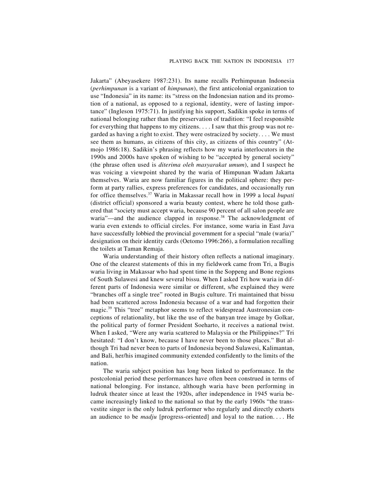Jakarta" (Abeyasekere 1987:231). Its name recalls Perhimpunan Indonesia (*perhimpunan* is a variant of *himpunan*), the first anticolonial organization to use "Indonesia" in its name: its "stress on the Indonesian nation and its promotion of a national, as opposed to a regional, identity, were of lasting importance" (Ingleson 1975:71). In justifying his support, Sadikin spoke in terms of national belonging rather than the preservation of tradition: "I feel responsible for everything that happens to my citizens. . . . I saw that this group was not regarded as having a right to exist. They were ostracized by society. . . . We must see them as humans, as citizens of this city, as citizens of this country" (Atmojo 1986:18). Sadikin's phrasing reflects how my waria interlocutors in the 1990s and 2000s have spoken of wishing to be "accepted by general society" (the phrase often used is *diterima oleh masyarakat umum*), and I suspect he was voicing a viewpoint shared by the waria of Himpunan Wadam Jakarta themselves. Waria are now familiar figures in the political sphere: they perform at party rallies, express preferences for candidates, and occasionally run for office themselves.<sup>37</sup> Waria in Makassar recall how in 1999 a local *bupati* (district official) sponsored a waria beauty contest, where he told those gathered that "society must accept waria, because 90 percent of all salon people are waria"—and the audience clapped in response.<sup>38</sup> The acknowledgment of waria even extends to official circles. For instance, some waria in East Java have successfully lobbied the provincial government for a special "male (waria)" designation on their identity cards (Oetomo 1996:266), a formulation recalling the toilets at Taman Remaja.

Waria understanding of their history often reflects a national imaginary. One of the clearest statements of this in my fieldwork came from Tri, a Bugis waria living in Makassar who had spent time in the Soppeng and Bone regions of South Sulawesi and knew several bissu. When I asked Tri how waria in different parts of Indonesia were similar or different, s/he explained they were "branches off a single tree" rooted in Bugis culture. Tri maintained that bissu had been scattered across Indonesia because of a war and had forgotten their magic.<sup>39</sup> This "tree" metaphor seems to reflect widespread Austronesian conceptions of relationality, but like the use of the banyan tree image by Golkar, the political party of former President Soeharto, it receives a national twist. When I asked, "Were any waria scattered to Malaysia or the Philippines?" Tri hesitated: "I don't know, because I have never been to those places." But although Tri had never been to parts of Indonesia beyond Sulawesi, Kalimantan, and Bali, her/his imagined community extended confidently to the limits of the nation.

The waria subject position has long been linked to performance. In the postcolonial period these performances have often been construed in terms of national belonging. For instance, although waria have been performing in ludruk theater since at least the 1920s, after independence in 1945 waria became increasingly linked to the national so that by the early 1960s "the transvestite singer is the only ludruk performer who regularly and directly exhorts an audience to be *madju* [progress-oriented] and loyal to the nation.... He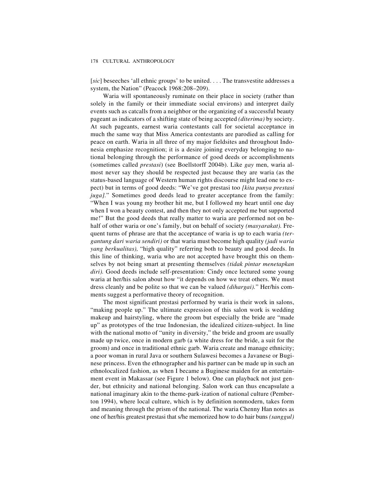[*sic*] beseeches 'all ethnic groups' to be united. . . . The transvestite addresses a system, the Nation" (Peacock 1968:208–209).

Waria will spontaneously ruminate on their place in society (rather than solely in the family or their immediate social environs) and interpret daily events such as catcalls from a neighbor or the organizing of a successful beauty pageant as indicators of a shifting state of being accepted *(diterima)* by society. At such pageants, earnest waria contestants call for societal acceptance in much the same way that Miss America contestants are parodied as calling for peace on earth. Waria in all three of my major fieldsites and throughout Indonesia emphasize recognition; it is a desire joining everyday belonging to national belonging through the performance of good deeds or accomplishments (sometimes called *prestasi*) (see Boellstorff 2004b). Like *gay* men, waria almost never say they should be respected just because they are waria (as the status-based language of Western human rights discourse might lead one to expect) but in terms of good deeds: "We've got prestasi too *[kita punya prestasi juga].*" Sometimes good deeds lead to greater acceptance from the family: "When I was young my brother hit me, but I followed my heart until one day when I won a beauty contest, and then they not only accepted me but supported me!" But the good deeds that really matter to waria are performed not on behalf of other waria or one's family, but on behalf of society *(masyarakat).* Frequent turns of phrase are that the acceptance of waria is up to each waria *(tergantung dari waria sendiri)* or that waria must become high quality *(jadi waria yang berkualitas),* "high quality" referring both to beauty and good deeds. In this line of thinking, waria who are not accepted have brought this on themselves by not being smart at presenting themselves *(tidak pintar menetapkan diri).* Good deeds include self-presentation: Cindy once lectured some young waria at her/his salon about how "it depends on how we treat others. We must dress cleanly and be polite so that we can be valued *(dihargai).*" Her/his comments suggest a performative theory of recognition.

The most significant prestasi performed by waria is their work in salons, "making people up." The ultimate expression of this salon work is wedding makeup and hairstyling, where the groom but especially the bride are "made up" as prototypes of the true Indonesian, the idealized citizen-subject. In line with the national motto of "unity in diversity," the bride and groom are usually made up twice, once in modern garb (a white dress for the bride, a suit for the groom) and once in traditional ethnic garb. Waria create and manage ethnicity; a poor woman in rural Java or southern Sulawesi becomes a Javanese or Buginese princess. Even the ethnographer and his partner can be made up in such an ethnolocalized fashion, as when I became a Buginese maiden for an entertainment event in Makassar (see Figure 1 below). One can playback not just gender, but ethnicity and national belonging. Salon work can thus encapsulate a national imaginary akin to the theme-park-ization of national culture (Pemberton 1994), where local culture, which is by definition nonmodern, takes form and meaning through the prism of the national. The waria Chenny Han notes as one of her/his greatest prestasi that s/he memorized how to do hair buns *(sanggul)*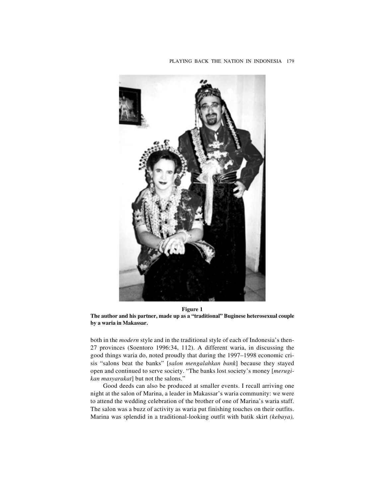#### PLAYING BACK THE NATION IN INDONESIA 179



**Figure 1 The author and his partner, made up as a "traditional" Buginese heterosexual couple by a waria in Makassar.**

both in the *modern* style and in the traditional style of each of Indonesia's then-27 provinces (Soentoro 1996:34, 112). A different waria, in discussing the good things waria do, noted proudly that during the 1997–1998 economic crisis "salons beat the banks" [*salon mengalahkan bank*] because they stayed open and continued to serve society. "The banks lost society's money [*merugikan masyarakat*] but not the salons."

Good deeds can also be produced at smaller events. I recall arriving one night at the salon of Marina, a leader in Makassar's waria community: we were to attend the wedding celebration of the brother of one of Marina's waria staff. The salon was a buzz of activity as waria put finishing touches on their outfits. Marina was splendid in a traditional-looking outfit with batik skirt *(kebaya),*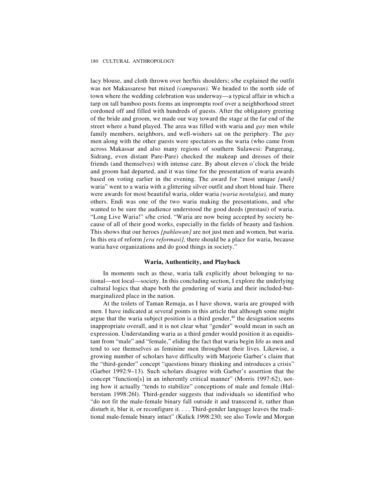lacy blouse, and cloth thrown over her/his shoulders; s/he explained the outfit was not Makassarese but mixed *(campuran).* We headed to the north side of town where the wedding celebration was underway—a typical affair in which a tarp on tall bamboo posts forms an impromptu roof over a neighborhood street cordoned off and filled with hundreds of guests. After the obligatory greeting of the bride and groom, we made our way toward the stage at the far end of the street where a band played. The area was filled with waria and *gay* men while family members, neighbors, and well-wishers sat on the periphery. The *gay* men along with the other guests were spectators as the waria (who came from across Makassar and also many regions of southern Sulawesi: Pangerang, Sidrang, even distant Pare-Pare) checked the makeup and dresses of their friends (and themselves) with intense care. By about eleven o'clock the bride and groom had departed, and it was time for the presentation of waria awards based on voting earlier in the evening. The award for "most unique *[unik]* waria" went to a waria with a glittering silver outfit and short blond hair. There were awards for most beautiful waria, older waria *(waria nostalgia),* and many others. Endi was one of the two waria making the presentations, and s/he wanted to be sure the audience understood the good deeds (prestasi) of waria. "Long Live Waria!" s/he cried. "Waria are now being accepted by society because of all of their good works, especially in the fields of beauty and fashion. This shows that our heroes *[pahlawan]* are not just men and women, but waria. In this era of reform *[era reformasi],* there should be a place for waria, because waria have organizations and do good things in society."

#### **Waria, Authenticity, and Playback**

In moments such as these, waria talk explicitly about belonging to national—not local—society. In this concluding section, I explore the underlying cultural logics that shape both the gendering of waria and their included-butmarginalized place in the nation.

At the toilets of Taman Remaja, as I have shown, waria are grouped with men. I have indicated at several points in this article that although some might argue that the waria subject position is a third gender, $40$  the designation seems inappropriate overall, and it is not clear what "gender" would mean in such an expression. Understanding waria as a third gender would position it as equidistant from "male" and "female," eliding the fact that waria begin life as men and tend to see themselves as feminine men throughout their lives. Likewise, a growing number of scholars have difficulty with Marjorie Garber's claim that the "third-gender" concept "questions binary thinking and introduces a crisis" (Garber 1992:9–13). Such scholars disagree with Garber's assertion that the concept "function[s] in an inherently critical manner" (Morris 1997:62), noting how it actually "tends to stabilize" conceptions of male and female (Halberstam 1998:26l). Third-gender suggests that individuals so identified who "do not fit the male-female binary fall outside it and transcend it, rather than disturb it, blur it, or reconfigure it.  $\dots$  Third-gender language leaves the traditional male-female binary intact" (Kulick 1998:230; see also Towle and Morgan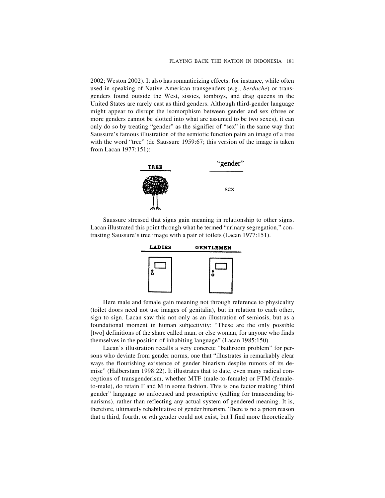2002; Weston 2002). It also has romanticizing effects: for instance, while often used in speaking of Native American transgenders (e.g., *berdache*) or transgenders found outside the West, sissies, tomboys, and drag queens in the United States are rarely cast as third genders. Although third-gender language might appear to disrupt the isomorphism between gender and sex (three or more genders cannot be slotted into what are assumed to be two sexes), it can only do so by treating "gender" as the signifier of "sex" in the same way that Saussure's famous illustration of the semiotic function pairs an image of a tree with the word "tree" (de Saussure 1959:67; this version of the image is taken from Lacan 1977:151):



Saussure stressed that signs gain meaning in relationship to other signs. Lacan illustrated this point through what he termed "urinary segregation," contrasting Saussure's tree image with a pair of toilets (Lacan 1977:151).



Here male and female gain meaning not through reference to physicality (toilet doors need not use images of genitalia), but in relation to each other, sign to sign. Lacan saw this not only as an illustration of semiosis, but as a foundational moment in human subjectivity: "These are the only possible [two] definitions of the share called man, or else woman, for anyone who finds themselves in the position of inhabiting language" (Lacan 1985:150).

Lacan's illustration recalls a very concrete "bathroom problem" for persons who deviate from gender norms, one that "illustrates in remarkably clear ways the flourishing existence of gender binarism despite rumors of its demise" (Halberstam 1998:22). It illustrates that to date, even many radical conceptions of transgenderism, whether MTF (male-to-female) or FTM (femaleto-male), do retain F and M in some fashion. This is one factor making "third gender" language so unfocused and proscriptive (calling for transcending binarisms), rather than reflecting any actual system of gendered meaning. It is, therefore, ultimately rehabilitative of gender binarism. There is no a priori reason that a third, fourth, or *n*th gender could not exist, but I find more theoretically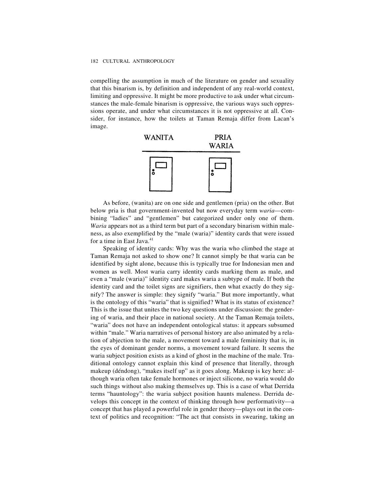compelling the assumption in much of the literature on gender and sexuality that this binarism is, by definition and independent of any real-world context, limiting and oppressive. It might be more productive to ask under what circumstances the male-female binarism is oppressive, the various ways such oppressions operate, and under what circumstances it is not oppressive at all. Consider, for instance, how the toilets at Taman Remaja differ from Lacan's image.



As before, (wanita) are on one side and gentlemen (pria) on the other. But below pria is that government-invented but now everyday term *waria*—combining "ladies" and "gentlemen" but categorized under only one of them. *Waria* appears not as a third term but part of a secondary binarism within maleness, as also exemplified by the "male (waria)" identity cards that were issued for a time in East Java. $41$ 

Speaking of identity cards: Why was the waria who climbed the stage at Taman Remaja not asked to show one? It cannot simply be that waria can be identified by sight alone, because this is typically true for Indonesian men and women as well. Most waria carry identity cards marking them as male, and even a "male (waria)" identity card makes waria a subtype of male. If both the identity card and the toilet signs are signifiers, then what exactly do they signify? The answer is simple: they signify "waria." But more importantly, what is the ontology of this "waria" that is signified? What is its status of existence? This is the issue that unites the two key questions under discussion: the gendering of waria, and their place in national society. At the Taman Remaja toilets, "waria" does not have an independent ontological status: it appears subsumed within "male." Waria narratives of personal history are also animated by a relation of abjection to the male, a movement toward a male femininity that is, in the eyes of dominant gender norms, a movement toward failure. It seems the waria subject position exists as a kind of ghost in the machine of the male. Traditional ontology cannot explain this kind of presence that literally, through makeup (déndong), "makes itself up" as it goes along. Makeup is key here: although waria often take female hormones or inject silicone, no waria would do such things without also making themselves up. This is a case of what Derrida terms "hauntology": the waria subject position haunts maleness. Derrida develops this concept in the context of thinking through how performativity—a concept that has played a powerful role in gender theory—plays out in the context of politics and recognition: "The act that consists in swearing, taking an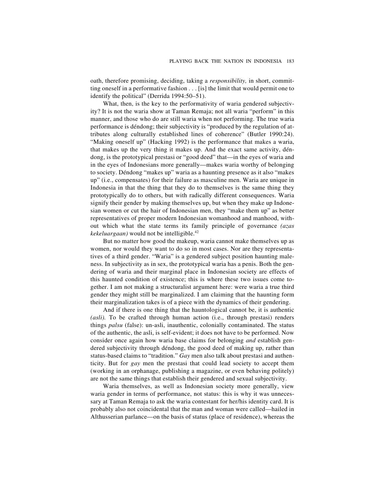oath, therefore promising, deciding, taking a *responsibility,* in short, committing oneself in a performative fashion . . . [is] the limit that would permit one to identify the political" (Derrida 1994:50–51).

What, then, is the key to the performativity of waria gendered subjectivity? It is not the waria show at Taman Remaja; not all waria "perform" in this manner, and those who do are still waria when not performing. The true waria performance is déndong; their subjectivity is "produced by the regulation of attributes along culturally established lines of coherence" (Butler 1990:24). "Making oneself up" (Hacking 1992) is the performance that makes a waria, that makes up the very thing it makes up. And the exact same activity, déndong, is the prototypical prestasi or "good deed" that—in the eyes of waria and in the eyes of Indonesians more generally—makes waria worthy of belonging to society. Déndong "makes up" waria as a haunting presence as it also "makes up" (i.e., compensates) for their failure as masculine men. Waria are unique in Indonesia in that the thing that they do to themselves is the same thing they prototypically do to others, but with radically different consequences. Waria signify their gender by making themselves up, but when they make up Indonesian women or cut the hair of Indonesian men, they "make them up" as better representatives of proper modern Indonesian womanhood and manhood, without which what the state terms its family principle of governance *(azas kekeluargaan*) would not be intelligible.<sup>42</sup>

But no matter how good the makeup, waria cannot make themselves up as women, nor would they want to do so in most cases. Nor are they representatives of a third gender. "Waria" is a gendered subject position haunting maleness. In subjectivity as in sex, the prototypical waria has a penis. Both the gendering of waria and their marginal place in Indonesian society are effects of this haunted condition of existence; this is where these two issues come together. I am not making a structuralist argument here: were waria a true third gender they might still be marginalized. I am claiming that the haunting form their marginalization takes is of a piece with the dynamics of their gendering.

And if there is one thing that the hauntological cannot be, it is authentic *(asli)*. To be crafted through human action *(i.e., through prestasi)* renders things *palsu* (false): un-asli, inauthentic, colonially contaminated. The status of the authentic, the asli, is self-evident; it does not have to be performed. Now consider once again how waria base claims for belonging *and* establish gendered subjectivity through déndong, the good deed of making up, rather than status-based claims to "tradition." *Gay* men also talk about prestasiand authenticity. But for *gay* men the prestasi that could lead society to accept them (working in an orphanage, publishing a magazine, or even behaving politely) are not the same things that establish their gendered and sexual subjectivity.

Waria themselves, as well as Indonesian society more generally, view waria gender in terms of performance, not status: this is why it was unnecessary at Taman Remaja to ask the waria contestant for her/his identity card. It is probably also not coincidental that the man and woman were called—hailed in Althusserian parlance—on the basis of status (place of residence), whereas the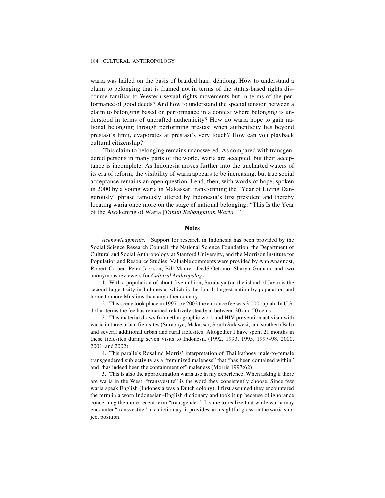waria was hailed on the basis of braided hair: déndong. How to understand a claim to belonging that is framed not in terms of the status-based rights discourse familiar to Western sexual rights movements but in terms of the performance of good deeds? And how to understand the special tension between a claim to belonging based on performance in a context where belonging is understood in terms of uncrafted authenticity? How do waria hope to gain national belonging through performing prestasi when authenticity lies beyond prestasi's limit, evaporates at prestasi's very touch? How can you playback cultural citizenship?

This claim to belonging remains unanswered. As compared with transgendered persons in many parts of the world, waria are accepted, but their acceptance is incomplete. As Indonesia moves further into the uncharted waters of its era of reform, the visibility of waria appears to be increasing, but true social acceptance remains an open question. I end, then, with words of hope, spoken in 2000 by a young waria in Makassar, transforming the "Year of Living Dangerously" phrase famously uttered by Indonesia's first president and thereby locating waria once more on the stage of national belonging: "This Is the Year of the Awakening of Waria [*Tahun Kebangkitan Waria*]!"

#### **Notes**

*Acknowledgments.* Support for research in Indonesia has been provided by the Social Science Research Council, the National Science Foundation, the Department of Cultural and Social Anthropology at Stanford University, and the Morrison Institute for Population and Resource Studies. Valuable comments were provided by Ann Anagnost, Robert Corber, Peter Jackson, Bill Maurer, Dédé Oetomo, Sharyn Graham, and two anonymous reviewers for *Cultural Anthropology.*

1. With a population of about five million, Surabaya (on the island of Java) is the second-largest city in Indonesia, which is the fourth-largest nation by population and home to more Muslims than any other country.

2. This scene took place in 1997; by 2002 the entrance fee was 3,000 rupiah. In U.S. dollar terms the fee has remained relatively steady at between 30 and 50 cents.

3. This material draws from ethnographic work and HIV prevention activism with waria in three urban fieldsites (Surabaya; Makassar, South Sulawesi; and southern Bali) and several additional urban and rural fieldsites. Altogether I have spent 21 months in these fieldsites during seven visits to Indonesia (1992, 1993, 1995, 1997–98, 2000, 2001, and 2002).

4. This parallels Rosalind Morris' interpretation of Thai kathoey male-to-female transgendered subjectivity as a "feminized maleness" that "has been contained within" and "has indeed been the containment of" maleness (Morris 1997:62).

5. This is also the approximation waria use in my experience. When asking if there are waria in the West, "transvestite" is the word they consistently choose. Since few waria speak English (Indonesia was a Dutch colony), I first assumed they encountered the term in a worn Indonesian–English dictionary and took it up because of ignorance concerning the more recent term "transgender." I came to realize that while waria may encounter "transvestite" in a dictionary, it provides an insightful gloss on the waria subject position.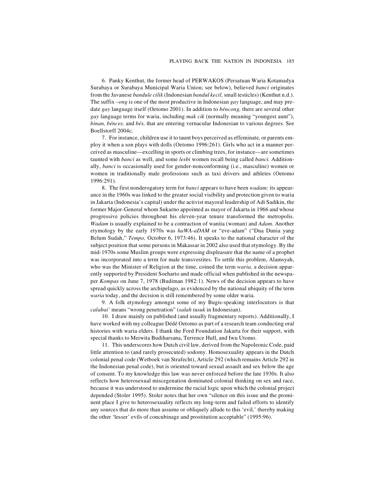6. Panky Kenthut, the former head of PERWAKOS (Persatuan Waria Kotamadya Surabaya or Surabaya Municipal Waria Union; see below), believed *banci* originates from the Javanese *bandule cilik* (Indonesian *bandul kecil,*small testicles) (Kenthut n.d.). The suffix *–ong* is one of the most productive in Indonesian *gay* language, and may predate *gay* language itself (Oetomo 2001). In addition to *béncong,* there are several other *gay* language terms for waria, including *mak cik* (normally meaning "youngest aunt"), *binan, bénces,* and *bés,* that are entering vernacular Indonesian to various degrees. See Boellstorff 2004c.

7. For instance, children use it to taunt boys perceived as effeminate, or parents employ it when a son plays with dolls (Oetomo 1996:261). Girls who act in a manner perceived as masculine—excelling in sports or climbing trees, for instance—are sometimes taunted with *banci* as well, and some *lesbi* women recall being called *banci.* Additionally, *banci* is occasionally used for gender-nonconforming (i.e., masculine) women or women in traditionally male professions such as taxi drivers and athletes (Oetomo 1996:291).

8. The first nonderogatory term for *banci* appears to have been *wadam;* its appearance in the 1960s was linked to the greater social visibility and protection given to waria in Jakarta (Indonesia's capital) under the activist mayoral leadership of Adi Sadikin, the former Major-General whom Sukarno appointed as mayor of Jakarta in 1966 and whose progressive policies throughout his eleven-year tenure transformed the metropolis. *Wadam* is usually explained to be a contraction of wanita (woman) and *Adam.* Another etymology by the early 1970s was *haWA-aDAM* or "eve-adam" ("Dua Dunia yang Belum Sudah," *Tempo,* October 6, 1973:46). It speaks to the national character of the subject position that some persons in Makassar in 2002 also used that etymology. By the mid-1970s some Muslim groups were expressing displeasure that the name of a prophet was incorporated into a term for male transvestites. To settle this problem, Alamsyah, who was the Minister of Religion at the time, coined the term *waria,* a decision apparently supported by President Soeharto and made official when published in the newspaper *Kompas* on June 7, 1978 (Budiman 1982:1). News of the decision appears to have spread quickly across the archipelago, as evidenced by the national ubiquity of the term *waria* today, and the decision is still remembered by some older waria.

9. A folk etymology amongst some of my Bugis-speaking interlocutors is that *calabai'* means "wrong penetration" (*salah tusuk* in Indonesian).

10. I draw mainly on published (and usually fragmentary reports). Additionally, I have worked with my colleague Dédé Oetomo as part of a research team conducting oral histories with waria elders. I thank the Ford Foundation Jakarta for their support, with special thanks to Meiwita Budiharsana, Terrence Hull, and Iwu Utomo.

11. This underscores how Dutch civil law, derived from the Napoleonic Code, paid little attention to (and rarely prosecuted) sodomy. Homosexuality appears in the Dutch colonial penal code (Wetboek van Strafecht), Article 292 (which remains Article 292 in the Indonesian penal code), but is oriented toward sexual assault and sex below the age of consent. To my knowledge this law was never enforced before the late 1930s. It also reflects how heterosexual miscegenation dominated colonial thinking on sex and race, because it was understood to undermine the racial logic upon which the colonial project depended (Stoler 1995). Stoler notes that her own "silence on this issue and the prominent place I give to heterosexuality reflects my long-term and failed efforts to identify any sources that do more than assume or obliquely allude to this 'evil,' thereby making the other 'lesser' evils of concubinage and prostitution acceptable" (1995:96).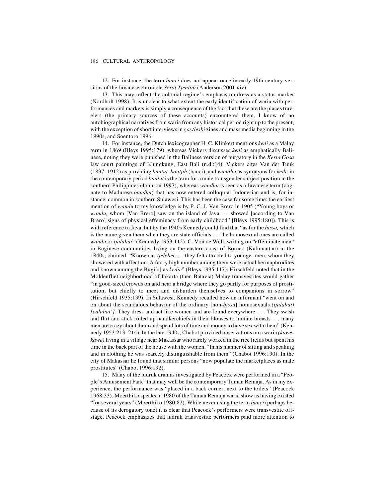12. For instance, the term *banci* does not appear once in early 19th-century versions of the Javanese chronicle *Serat Tjentini* (Anderson 2001:xiv).

13. This may reflect the colonial regime's emphasis on dress as a status marker (Nordholt 1998). It is unclear to what extent the early identification of waria with performances and markets is simply a consequence of the fact that these are the places travelers (the primary sources of these accounts) encountered them. I know of no autobiographical narratives from waria from any historical period right up to the present, with the exception of short interviews in *gay/lesbi* zines and mass media beginning in the 1990s, and Soentoro 1996.

14. For instance, the Dutch lexicographer H. C. Klinkert mentions *kedi* as a Malay term in 1869 (Bleys 1995:179), whereas Vickers discusses *kedi* as emphatically Balinese, noting they were punished in the Balinese version of purgatory in the *Kerta Gosa* law court paintings of Klungkung, East Bali (n.d.:14). Vickers cites Van der Tuuk (1897–1912) as providing *bantut, bantjih* (banci), and *wandhu* as synonyms for *kedi*:in the contemporary period *bantut* is the term for a male transgender subject position in the southern Philippines (Johnson 1997), whereas *wandhu* is seen as a Javanese term (cognate to Madurese *bandhu*) that has now entered colloquial Indonesian and is, for instance, common in southern Sulawesi. This has been the case for some time: the earliest mention of *wandu* to my knowledge is by P. C. J. Van Brero in 1905 ("Young boys or *wandu,* whom [Van Brero] saw on the island of Java . . . showed [according to Van Brero] signs of physical effeminacy from early childhood" [Bleys 1995:180]). This is with reference to Java, but by the 1940s Kennedy could find that "as for the *bissu,* which is the name given them when they are state officials . . . the homosexual ones are called *wandu* or *tjalabai*" (Kennedy 1953:112). C. Von de Wall, writing on "effeminate men" in Buginese communities living on the eastern coast of Borneo (Kalimantan) in the 1840s, claimed: "Known as *tjelebei* . . . they felt attracted to younger men, whom they showered with affection. A fairly high number among them were actual hermaphrodites and known among the Bugi[s] as *kedie*" (Bleys 1995:117). Hirschfeld noted that in the Moldenfliet neighborhood of Jakarta (then Batavia) Malay transvestites would gather "in good-sized crowds on and near a bridge where they go partly for purposes of prostitution, but chiefly to meet and disburden themselves to companions in sorrow" (Hirschfeld 1935:139). In Sulawesi, Kennedy recalled how an informant "went on and on about the scandalous behavior of the ordinary [non-*bissu*] homosexuals *(tjalabai) [calabai'].* They dress and act like women and are found everywhere. . . . They swish and flirt and stick rolled up handkerchiefs in their blouses to imitate breasts . . . many men are crazy about them and spend lots of time and money to have sex with them" (Kennedy 1953:213–214). In the late 1940s, Chabot provided observations on a waria *(kawekawe)* living in a village near Makassar who rarely worked in the rice fields but spent his time in the back part of the house with the women. "In his manner of sitting and speaking and in clothing he was scarcely distinguishable from them" (Chabot 1996:190). In the city of Makassar he found that similar persons "now populate the marketplaces as male prostitutes" (Chabot 1996:192).

15. Many of the ludruk dramas investigated by Peacock were performed in a "People's Amusement Park" that may well be the contemporary Taman Remaja. As in my experience, the performance was "placed in a back corner, next to the toilets" (Peacock 1968:33). Moerthiko speaks in 1980 of the Taman Remaja waria show as having existed "for several years" (Moerthiko 1980:82). While never using the term *banci* (perhaps because of its derogatory tone) it is clear that Peacock's performers were transvestite offstage. Peacock emphasizes that ludruk transvestite performers paid more attention to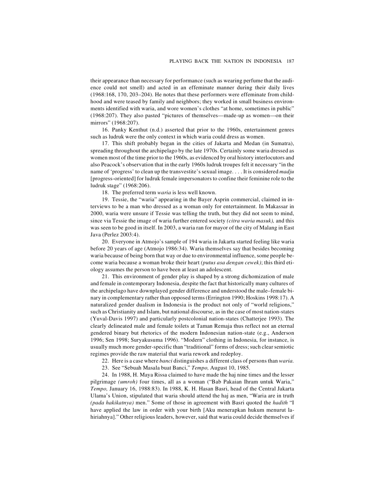their appearance than necessary for performance (such as wearing perfume that the audience could not smell) and acted in an effeminate manner during their daily lives (1968:168, 170, 203–204). He notes that these performers were effeminate from childhood and were teased by family and neighbors; they worked in small business environments identified with waria, and wore women's clothes "at home, sometimes in public" (1968:207). They also pasted "pictures of themselves—made-up as women—on their mirrors" (1968:207).

16. Panky Kenthut (n.d.) asserted that prior to the 1960s, entertainment genres such as ludruk were the only context in which waria could dress as women.

17. This shift probably began in the cities of Jakarta and Medan (in Sumatra), spreading throughout the archipelago by the late 1970s. Certainly some waria dressed as women most of the time prior to the 1960s, as evidenced by oral history interlocutors and also Peacock's observation that in the early 1960s ludruk troupes felt it necessary "in the name of 'progress' to clean up the transvestite's sexual image. . . . It is considered *madju* [progress-oriented] for ludruk female impersonators to confine their feminine role to the ludruk stage" (1968:206).

18. The preferred term *waria* is less well known.

19. Tessie, the "waria" appearing in the Bayer Asprin commercial, claimed in interviews to be a man who dressed as a woman only for entertainment. In Makassar in 2000, waria were unsure if Tessie was telling the truth, but they did not seem to mind, since via Tessie the image of waria further entered society *(citra waria masuk),* and this was seen to be good in itself. In 2003, a waria ran for mayor of the city of Malang in East Java (Perlez 2003:4).

20. Everyone in Atmojo's sample of 194 waria in Jakarta started feeling like waria before 20 years of age (Atmojo 1986:34). Waria themselves say that besides becoming waria because of being born that way or due to environmental influence, some people become waria because a woman broke their heart *(putus asa dengan cewek)*; this third etiology assumes the person to have been at least an adolescent.

21. This environment of gender play is shaped by a strong dichomization of male and female in contemporary Indonesia, despite the fact that historically many cultures of the archipelago have downplayed gender difference and understood the male–female binary in complementary rather than opposed terms (Errington 1990; Hoskins 1998:17). A naturalized gender dualism in Indonesia is the product not only of "world religions," such as Christianity and Islam, but national discourse, as in the case of most nation-states (Yuval-Davis 1997) and particularly postcolonial nation-states (Chatterjee 1993). The clearly delineated male and female toilets at Taman Remaja thus reflect not an eternal gendered binary but rhetorics of the modern Indonesian nation-state (e.g., Anderson 1996; Sen 1998; Suryakusuma 1996). "Modern" clothing in Indonesia, for instance, is usually much more gender-specific than "traditional" forms of dress; such clear semiotic regimes provide the raw material that waria rework and redeploy.

22. Here is a case where *banci* distinguishes a different class of persons than *waria.*

23. See "Sebuah Masala buat Banci," *Tempo,* August 10, 1985.

24. In 1988, H. Maya Rissa claimed to have made the haj nine times and the lesser pilgrimage *(umroh)* four times, all as a woman ("Bab Pakaian Ihram untuk Waria," *Tempo,* January 16, 1988:83). In 1988, K. H. Hasan Basri, head of the Central Jakarta Ulama's Union, stipulated that waria should attend the haj as men, "Waria are in truth *(pada hakikatnya)* men." Some of those in agreement with Basri quoted the *hadith* "I have applied the law in order with your birth [Aku menerapkan hukum menurut lahiriahnya]." Other religious leaders, however, said that waria could decide themselves if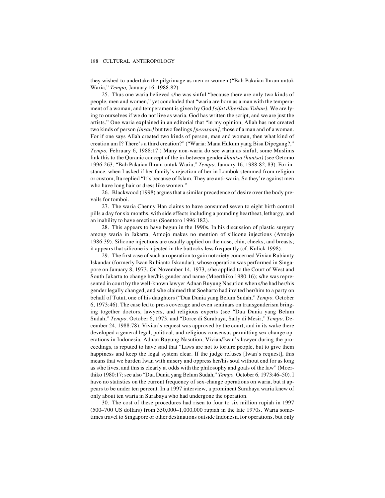they wished to undertake the pilgrimage as men or women ("Bab Pakaian Ihram untuk Waria," *Tempo,* January 16, 1988:82).

25. Thus one waria believed s/he was sinful "because there are only two kinds of people, men and women," yet concluded that "waria are born as a man with the temperament of a woman, and temperament is given by God *[sifat diberikan Tuhan].* We are lying to ourselves if we do not live as waria. God has written the script, and we are just the artists." One waria explained in an editorial that "in my opinion, Allah has not created two kinds of person *[insan]* but two feelings *[perasaan],* those of a man and of a woman. For if one says Allah created two kinds of person, man and woman, then what kind of creation am I? There's a third creation?" ("Waria: Mana Hukum yang Bisa Dipegang?," *Tempo,* February 6, 1988:17.) Many non-waria do see waria as sinful; some Muslims link this to the Quranic concept of the in-between gender *khuntsa (huntsa)* (see Oetomo 1996:263; "Bab Pakaian Ihram untuk Waria," *Tempo,* January 16, 1988:82, 83). For instance, when I asked if her family's rejection of her in Lombok stemmed from religion or custom, Ita replied "It's because of Islam. They are anti-waria. So they're against men who have long hair or dress like women."

26. Blackwood (1998) argues that a similar precedence of desire over the body prevails for tomboi.

27. The waria Chenny Han claims to have consumed seven to eight birth control pills a day for six months, with side effects including a pounding heartbeat, lethargy, and an inability to have erections (Soentoro 1996:182).

28. This appears to have begun in the 1990s. In his discussion of plastic surgery among waria in Jakarta, Atmojo makes no mention of silicone injections (Atmojo 1986:39). Silicone injections are usually applied on the nose, chin, cheeks, and breasts; it appears that silicone is injected in the buttocks less frequently (cf. Kulick 1998).

29. The first case of such an operation to gain notoriety concerned Vivian Rubianty Iskandar (formerly Iwan Rubianto Iskandar), whose operation was performed in Singapore on January 8, 1973. On November 14, 1973, s/he applied to the Court of West and South Jakarta to change her/his gender and name (Moerthiko 1980:16); s/he was represented in court by the well-known lawyer Adnan Buyung Nasution when s/he had her/his gender legally changed, and s/he claimed that Soeharto had invited her/him to a party on behalf of Tutut, one of his daughters ("Dua Dunia yang Belum Sudah," *Tempo,* October 6, 1973:46). The case led to press coverage and even seminars on transgenderism bringing together doctors, lawyers, and religious experts (see "Dua Dunia yang Belum Sudah," *Tempo,* October 6, 1973, and "Dorce di Surabaya, Sally diMesir," *Tempo,* December 24, 1988:78). Vivian's request was approved by the court, and in its wake there developed a general legal, political, and religious consensus permitting sex change operations in Indonesia. Adnan Buyung Nasution, Vivian/Iwan's lawyer during the proceedings, is reputed to have said that "Laws are not to torture people, but to give them happiness and keep the legal system clear. If the judge refuses [Iwan's request], this means that we burden Iwan with misery and oppress her/his soul without end for as long as s/he lives, and this is clearly at odds with the philosophy and goals of the law" (Moerthiko 1980:17; see also "Dua Dunia yang Belum Sudah," *Tempo,* October 6, 1973:46–50). I have no statistics on the current frequency of sex-change operations on waria, but it appears to be under ten percent. In a 1997 interview, a prominent Surabaya waria knew of only about ten waria in Surabaya who had undergone the operation.

30. The cost of these procedures had risen to four to six million rupiah in 1997 (500–700 US dollars) from 350,000–1,000,000 rupiah in the late 1970s. Waria sometimes travel to Singapore or other destinations outside Indonesia for operations, but only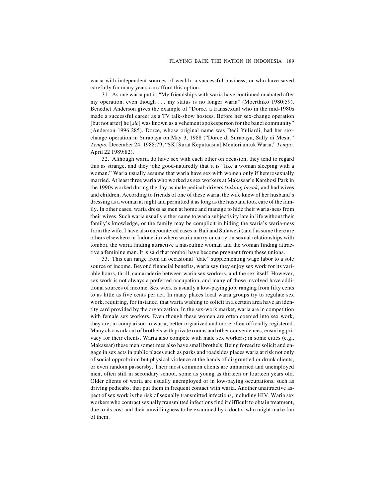waria with independent sources of wealth, a successful business, or who have saved carefully for many years can afford this option.

31. As one waria put it, "My friendships with waria have continued unabated after my operation, even though . . . my status is no longer waria" (Moerthiko 1980:59). Benedict Anderson gives the example of "Dorce, a transsexual who in the mid-1980s made a successful career as a TV talk-show hostess. Before her sex-change operation [but not after] he [*sic*] was known as a vehement spokesperson for the bancicommunity" (Anderson 1996:285). Dorce, whose original name was Dedi Yuliardi, had her sexchange operation in Surabaya on May 3, 1988 ("Dorce di Surabaya, Sally di Mesir," *Tempo,* December 24, 1988:79; "SK [Surat Keputuasan] Menteriuntuk Waria," *Tempo,* April 22 1989:82).

32. Although waria do have sex with each other on occasion, they tend to regard this as strange, and they joke good-naturedly that it is "like a woman sleeping with a woman." Waria usually assume that waria have sex with women only if heterosexually married. At least three waria who worked as sex workers at Makassar's Karebosi Park in the 1990s worked during the day as male pedicab drivers *(tukang becak)* and had wives and children. According to friends of one of these waria, the wife knew of her husband's dressing as a woman at night and permitted it as long as the husband took care of the family. In other cases, waria dress as men at home and manage to hide their waria-ness from their wives. Such waria usually either came to waria subjectivity late in life without their family's knowledge, or the family may be complicit in hiding the waria's waria-ness from the wife. I have also encountered cases in Baliand Sulawesi(and I assume there are others elsewhere in Indonesia) where waria marry or carry on sexual relationships with tomboi, the waria finding attractive a masculine woman and the woman finding attractive a feminine man. It is said that tomboi have become pregnant from these unions.

33. This can range from an occasional "date" supplementing wage labor to a sole source of income. Beyond financial benefits, waria say they enjoy sex work for its variable hours, thrill, camaraderie between waria sex workers, and the sex itself. However, sex work is not always a preferred occupation, and many of those involved have additional sources of income. Sex work is usually a low-paying job, ranging from fifty cents to as little as five cents per act. In many places local waria groups try to regulate sex work, requiring, for instance, that waria wishing to solicit in a certain area have an identity card provided by the organization. In the sex-work market, waria are in competition with female sex workers. Even though these women are often coerced into sex work, they are, in comparison to waria, better organized and more often officially registered. Many also work out of brothels with private rooms and other conveniences, ensuring privacy for their clients. Waria also compete with male sex workers; in some cities (e.g., Makassar) these men sometimes also have small brothels. Being forced to solicit and engage in sex acts in public places such as parks and roadsides places waria at risk not only of social opprobrium but physical violence at the hands of disgruntled or drunk clients, or even random passersby. Their most common clients are unmarried and unemployed men, often still in secondary school, some as young as thirteen or fourteen years old. Older clients of waria are usually unemployed or in low-paying occupations, such as driving pedicabs, that put them in frequent contact with waria. Another unattractive aspect of sex work is the risk of sexually transmitted infections, including HIV. Waria sex workers who contract sexually transmitted infections find it difficult to obtain treatment, due to its cost and their unwillingness to be examined by a doctor who might make fun of them.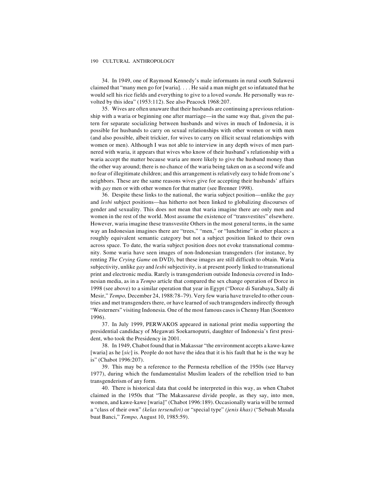34. In 1949, one of Raymond Kennedy's male informants in rural south Sulawesi claimed that "many men go for [waria]. . . . He said a man might get so infatuated that he would sell his rice fields and everything to give to a loved *wandu.* He personally was revolted by this idea" (1953:112). See also Peacock 1968:207.

35. Wives are often unaware that their husbands are continuing a previous relationship with a waria or beginning one after marriage—in the same way that, given the pattern for separate socializing between husbands and wives in much of Indonesia, it is possible for husbands to carry on sexual relationships with other women or with men (and also possible, albeit trickier, for wives to carry on illicit sexual relationships with women or men). Although I was not able to interview in any depth wives of men partnered with waria, it appears that wives who know of their husband's relationship with a waria accept the matter because waria are more likely to give the husband money than the other way around; there is no chance of the waria being taken on as a second wife and no fear of illegitimate children; and this arrangement is relatively easy to hide from one's neighbors. These are the same reasons wives give for accepting their husbands' affairs with *gay* men or with other women for that matter (see Brenner 1998).

36. Despite these links to the national, the waria subject position—unlike the *gay* and *lesbi* subject positions—has hitherto not been linked to globalizing discourses of gender and sexuality. This does not mean that waria imagine there are only men and women in the rest of the world. Most assume the existence of "transvestites" elsewhere. However, waria imagine these transvestite Others in the most general terms, in the same way an Indonesian imagines there are "trees," "men," or "lunchtime" in other places: a roughly equivalent semantic category but not a subject position linked to their own across space. To date, the waria subject position does not evoke transnational community. Some waria have seen images of non-Indonesian transgenders (for instance, by renting *The Crying Game* on DVD), but these images are still difficult to obtain. Waria subjectivity, unlike *gay* and *lesbi* subjectivity, is at present poorly linked to transnational print and electronic media. Rarely is transgenderism outside Indonesia covered in Indonesian media, as in a *Tempo* article that compared the sex change operation of Dorce in 1998 (see above) to a similar operation that year in Egypt ("Dorce di Surabaya, Sally di Mesir," *Tempo,* December 24, 1988:78–79). Very few waria have traveled to other countries and met transgenders there, or have learned of such transgenders indirectly through "Westerners" visiting Indonesia. One of the most famous cases is Chenny Han (Soentoro 1996).

37. In July 1999, PERWAKOS appeared in national print media supporting the presidential candidacy of Megawati Soekarnoputri, daughter of Indonesia's first president, who took the Presidency in 2001.

38. In 1949, Chabot found that in Makassar "the environment accepts a kawe-kawe [waria] as he [*sic*] is. People do not have the idea that it is his fault that he is the way he is" (Chabot 1996:207).

39. This may be a reference to the Permesta rebellion of the 1950s (see Harvey 1977), during which the fundamentalist Muslim leaders of the rebellion tried to ban transgenderism of any form.

40. There is historical data that could be interpreted in this way, as when Chabot claimed in the 1950s that "The Makassarese divide people, as they say, into men, women, and kawe-kawe [waria]" (Chabot 1996:189). Occasionally waria will be termed a "class of their own" *(kelas tersendiri)* or "special type" *(jenis khas)* ("Sebuah Masala buat Banci," *Tempo,* August 10, 1985:59).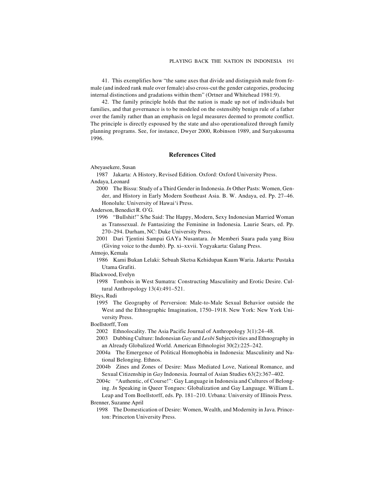41. This exemplifies how "the same axes that divide and distinguish male from female (and indeed rank male over female) also cross-cut the gender categories, producing internal distinctions and gradations within them" (Ortner and Whitehead 1981:9).

42. The family principle holds that the nation is made up not of individuals but families, and that governance is to be modeled on the ostensibly benign rule of a father over the family rather than an emphasis on legal measures deemed to promote conflict. The principle is directly espoused by the state and also operationalized through family planning programs. See, for instance, Dwyer 2000, Robinson 1989, and Suryakusuma 1996.

#### **References Cited**

#### Abeyasekere, Susan

1987 Jakarta: A History, Revised Edition. Oxford: Oxford University Press. Andaya, Leonard

2000 The Bissu: Study of a Third Gender in Indonesia. *In* Other Pasts: Women, Gender, and History in Early Modern Southeast Asia. B. W. Andaya, ed. Pp. 27–46. Honolulu: University of Hawai'i Press.

Anderson, Benedict R. O'G.

1996 "Bullshit!" S/he Said: The Happy, Modern, Sexy Indonesian Married Woman as Transsexual. *In* Fantasizing the Feminine in Indonesia. Laurie Sears, ed. Pp. 270–294. Durham, NC: Duke University Press.

2001 Dari Tjentini Sampai GAYa Nusantara. *In* Memberi Suara pada yang Bisu (Giving voice to the dumb). Pp. xi–xxvii. Yogyakarta: Galang Press.

#### Atmojo, Kemala

1986 KamiBukan Lelaki: Sebuah Sketsa Kehidupan Kaum Waria. Jakarta: Pustaka Utama Grafiti.

#### Blackwood, Evelyn

1998 Tombois in West Sumatra: Constructing Masculinity and Erotic Desire. Cultural Anthropology 13(4):491–521.

#### Bleys, Rudi

1995 The Geography of Perversion: Male-to-Male Sexual Behavior outside the West and the Ethnographic Imagination, 1750–1918. New York: New York University Press.

#### Boellstorff, Tom

2002 Ethnolocality. The Asia Pacific Journal of Anthropology 3(1):24–48.

- 2003 Dubbing Culture: Indonesian *Gay* and *Lesbi* Subjectivities and Ethnography in an Already Globalized World. American Ethnologist 30(2):225–242.
- 2004a The Emergence of Political Homophobia in Indonesia: Masculinity and National Belonging. Ethnos.

2004b Zines and Zones of Desire: Mass Mediated Love, National Romance, and Sexual Citizenship in *Gay* Indonesia. Journal of Asian Studies 63(2):367–402.

2004c "Authentic, of Course!": Gay Language in Indonesia and Cultures of Belonging. *In* Speaking in Queer Tongues: Globalization and Gay Language. William L. Leap and Tom Boellstorff, eds. Pp. 181–210. Urbana: University of Illinois Press.

Brenner, Suzanne April

1998 The Domestication of Desire: Women, Wealth, and Modernity in Java. Princeton: Princeton University Press.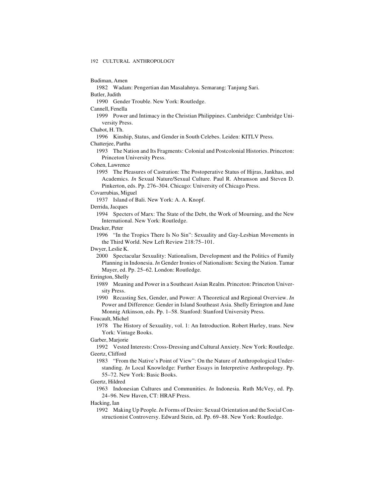Budiman, Amen

1982 Wadam: Pengertian dan Masalahnya. Semarang: Tanjung Sari.

Butler, Judith

1990 Gender Trouble. New York: Routledge.

Cannell, Fenella

1999 Power and Intimacy in the Christian Philippines. Cambridge: Cambridge University Press.

#### Chabot, H. Th.

1996 Kinship, Status, and Gender in South Celebes. Leiden: KITLV Press.

#### Chatterjee, Partha

1993 The Nation and Its Fragments: Colonial and Postcolonial Histories. Princeton: Princeton University Press.

#### Cohen, Lawrence

1995 The Pleasures of Castration: The Postoperative Status of Hijras, Jankhas, and Academics. *In* Sexual Nature/Sexual Culture. Paul R. Abramson and Steven D. Pinkerton, eds. Pp. 276–304. Chicago: University of Chicago Press.

#### Covarrubias, Miguel

1937 Island of Bali. New York: A. A. Knopf.

#### Derrida, Jacques

1994 Specters of Marx: The State of the Debt, the Work of Mourning, and the New International. New York: Routledge.

#### Drucker, Peter

1996 "In the Tropics There Is No Sin": Sexuality and Gay-Lesbian Movements in the Third World. New Left Review 218:75–101.

#### Dwyer, Leslie K.

2000 Spectacular Sexuality: Nationalism, Development and the Politics of Family Planning in Indonesia. *In* Gender Ironies of Nationalism: Sexing the Nation. Tamar Mayer, ed. Pp. 25–62. London: Routledge.

#### Errington, Shelly

1989 Meaning and Power in a Southeast Asian Realm. Princeton: Princeton University Press.

1990 Recasting Sex, Gender, and Power: A Theoretical and Regional Overview. *In* Power and Difference: Gender in Island Southeast Asia. Shelly Errington and Jane Monnig Atkinson, eds. Pp. 1–58. Stanford: Stanford University Press.

#### Foucault, Michel

1978 The History of Sexuality, vol. 1: An Introduction. Robert Hurley, trans. New York: Vintage Books.

#### Garber, Marjorie

1992 Vested Interests: Cross-Dressing and Cultural Anxiety. New York: Routledge. Geertz, Clifford

1983 "From the Native's Point of View": On the Nature of Anthropological Understanding. *In* Local Knowledge: Further Essays in Interpretive Anthropology. Pp. 55–72. New York: Basic Books.

#### Geertz, Hildred

1963 Indonesian Cultures and Communities. *In* Indonesia. Ruth McVey, ed. Pp. 24–96. New Haven, CT: HRAF Press.

#### Hacking, Ian

1992 Making Up People. *In* Forms of Desire: Sexual Orientation and the Social Constructionist Controversy. Edward Stein, ed. Pp. 69–88. New York: Routledge.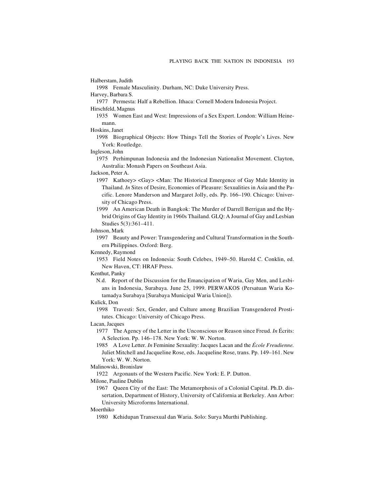Halberstam, Judith

1998 Female Masculinity. Durham, NC: Duke University Press.

Harvey, Barbara S.

1977 Permesta: Half a Rebellion. Ithaca: Cornell Modern Indonesia Project. Hirschfeld, Magnus

1935 Women East and West: Impressions of a Sex Expert. London: William Heinemann.

Hoskins, Janet

1998 Biographical Objects: How Things Tell the Stories of People's Lives. New York: Routledge.

Ingleson, John

1975 Perhimpunan Indonesia and the Indonesian Nationalist Movement. Clayton, Australia: Monash Papers on Southeast Asia.

#### Jackson, Peter A.

- 1997 Kathoey> <Gay> <Man: The Historical Emergence of Gay Male Identity in Thailand. *In* Sites of Desire, Economies of Pleasure: Sexualities in Asia and the Pacific. Lenore Manderson and Margaret Jolly, eds. Pp. 166–190. Chicago: University of Chicago Press.
- 1999 An American Death in Bangkok: The Murder of Darrell Berrigan and the Hybrid Origins of Gay Identity in 1960s Thailand. GLQ: A Journal of Gay and Lesbian Studies 5(3):361–411.
- Johnson, Mark
	- 1997 Beauty and Power: Transgendering and Cultural Transformation in the Southern Philippines. Oxford: Berg.

#### Kennedy, Raymond

1953 Field Notes on Indonesia: South Celebes, 1949–50. Harold C. Conklin, ed. New Haven, CT: HRAF Press.

#### Kenthut, Panky

N.d. Report of the Discussion for the Emancipation of Waria, Gay Men, and Lesbians in Indonesia, Surabaya. June 25, 1999. PERWAKOS (Persatuan Waria Kotamadya Surabaya [Surabaya Municipal Waria Union]).

#### Kulick, Don

1998 Travesti: Sex, Gender, and Culture among Brazilian Transgendered Prostitutes. Chicago: University of Chicago Press.

#### Lacan, Jacques

- 1977 The Agency of the Letter in the Unconscious or Reason since Freud. *In* Écrits: A Selection. Pp. 146–178. New York: W. W. Norton.
- 1985 A Love Letter. *In* Feminine Sexuality: Jacques Lacan and the *École Freudienne.* Juliet Mitchell and Jacqueline Rose, eds. Jacqueline Rose, trans. Pp. 149–161. New York: W. W. Norton.

#### Malinowski, Bronislaw

1922 Argonauts of the Western Pacific. New York: E. P. Dutton.

#### Milone, Pauline Dublin

1967 Queen City of the East: The Metamorphosis of a Colonial Capital. Ph.D. dissertation, Department of History, University of California at Berkeley. Ann Arbor: University Microforms International.

#### Moerthiko

1980 Kehidupan Transexual dan Waria. Solo: Surya Murthi Publishing.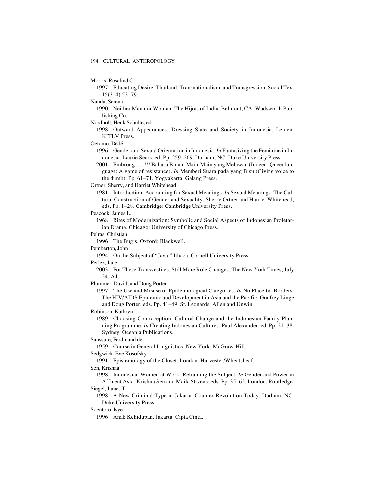```
Morris, Rosalind C.
```
- 1997 Educating Desire: Thailand, Transnationalism, and Transgression. Social Text 15(3–4):53–79.
- Nanda, Serena
	- 1990 Neither Man nor Woman: The Hijras of India. Belmont, CA: Wadsworth Publishing Co.
- Nordholt, Henk Schulte, ed.
	- 1998 Outward Appearances: Dressing State and Society in Indonesia. Leiden: KITLV Press.

#### Oetomo, Dédé

- 1996 Gender and Sexual Orientation in Indonesia. *In* Fantasizing the Feminine in Indonesia. Laurie Sears, ed. Pp. 259–269. Durham, NC: Duke University Press.
- 2001 Embrong . . . !!! Bahasa Binan: Main-Main yang Melawan (Indeed! Queer language: A game of resistance). *In* Memberi Suara pada yang Bisu (Giving voice to the dumb). Pp. 61–71. Yogyakarta: Galang Press.
- Ortner, Sherry, and Harriet Whitehead
	- 1981 Introduction: Accounting for Sexual Meanings. *In* Sexual Meanings: The Cultural Construction of Gender and Sexuality. Sherry Ortner and Harriet Whitehead, eds. Pp. 1–28. Cambridge: Cambridge University Press.

#### Peacock, James L.

- 1968 Rites of Modernization: Symbolic and Social Aspects of Indonesian Proletarian Drama. Chicago: University of Chicago Press.
- Pelras, Christian
	- 1996 The Bugis. Oxford: Blackwell.
- Pemberton, John
	- 1994 On the Subject of "Java." Ithaca: Cornell University Press.
- Perlez, Jane
	- 2003 For These Transvestites, Still More Role Changes. The New York Times, July 24: A4.
- Plummer, David, and Doug Porter
	- 1997 The Use and Misuse of Epidemiological Categories. *In* No Place for Borders: The HIV/AIDS Epidemic and Development in Asia and the Pacific. Godfrey Linge and Doug Porter, eds. Pp. 41–49. St. Leonards: Allen and Unwin.

#### Robinson, Kathryn

1989 Choosing Contraception: Cultural Change and the Indonesian Family Planning Programme. *In* Creating Indonesian Cultures. Paul Alexander, ed. Pp. 21–38. Sydney: Oceania Publications.

#### Saussure, Ferdinand de

1959 Course in General Linguistics. New York: McGraw-Hill.

#### Sedgwick, Eve Kosofsky

1991 Epistemology of the Closet. London: Harvester/Wheatsheaf.

#### Sen, Krishna

1998 Indonesian Women at Work: Reframing the Subject. *In* Gender and Power in Affluent Asia. Krishna Sen and Maila Stivens, eds. Pp. 35–62. London: Routledge. Siegel, James T.

### 1998 A New Criminal Type in Jakarta: Counter-Revolution Today. Durham, NC:

Duke University Press.

#### Soentoro, Isye

1996 Anak Kehidupan. Jakarta: Cipta Cinta.